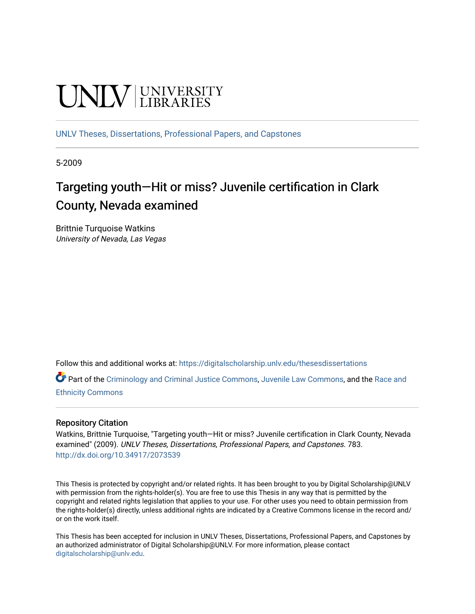# **UNIVERSITY**

[UNLV Theses, Dissertations, Professional Papers, and Capstones](https://digitalscholarship.unlv.edu/thesesdissertations)

5-2009

# Targeting youth—Hit or miss? Juvenile certification in Clark County, Nevada examined

Brittnie Turquoise Watkins University of Nevada, Las Vegas

Follow this and additional works at: [https://digitalscholarship.unlv.edu/thesesdissertations](https://digitalscholarship.unlv.edu/thesesdissertations?utm_source=digitalscholarship.unlv.edu%2Fthesesdissertations%2F783&utm_medium=PDF&utm_campaign=PDFCoverPages)

Part of the [Criminology and Criminal Justice Commons](http://network.bepress.com/hgg/discipline/367?utm_source=digitalscholarship.unlv.edu%2Fthesesdissertations%2F783&utm_medium=PDF&utm_campaign=PDFCoverPages), [Juvenile Law Commons,](http://network.bepress.com/hgg/discipline/851?utm_source=digitalscholarship.unlv.edu%2Fthesesdissertations%2F783&utm_medium=PDF&utm_campaign=PDFCoverPages) and the [Race and](http://network.bepress.com/hgg/discipline/426?utm_source=digitalscholarship.unlv.edu%2Fthesesdissertations%2F783&utm_medium=PDF&utm_campaign=PDFCoverPages) [Ethnicity Commons](http://network.bepress.com/hgg/discipline/426?utm_source=digitalscholarship.unlv.edu%2Fthesesdissertations%2F783&utm_medium=PDF&utm_campaign=PDFCoverPages) 

#### Repository Citation

Watkins, Brittnie Turquoise, "Targeting youth—Hit or miss? Juvenile certification in Clark County, Nevada examined" (2009). UNLV Theses, Dissertations, Professional Papers, and Capstones. 783. <http://dx.doi.org/10.34917/2073539>

This Thesis is protected by copyright and/or related rights. It has been brought to you by Digital Scholarship@UNLV with permission from the rights-holder(s). You are free to use this Thesis in any way that is permitted by the copyright and related rights legislation that applies to your use. For other uses you need to obtain permission from the rights-holder(s) directly, unless additional rights are indicated by a Creative Commons license in the record and/ or on the work itself.

This Thesis has been accepted for inclusion in UNLV Theses, Dissertations, Professional Papers, and Capstones by an authorized administrator of Digital Scholarship@UNLV. For more information, please contact [digitalscholarship@unlv.edu](mailto:digitalscholarship@unlv.edu).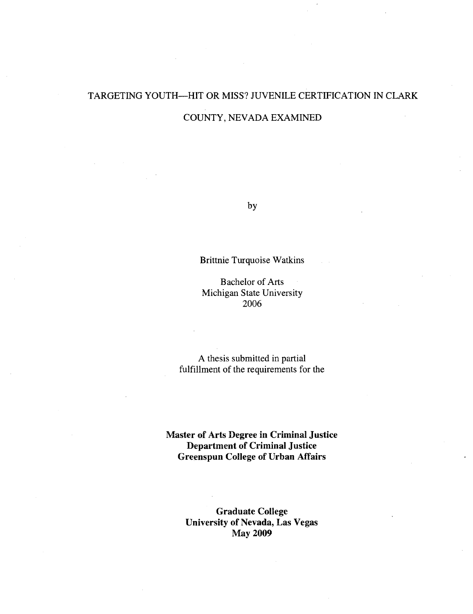# TARGETING YOUTH—HIT OR MISS? JUVENILE CERTIFICATION IN CLARK

#### COUNTY, NEVADA EXAMINED

by

#### Brittnie Turquoise Watkins

Bachelor of Arts Michigan State University 2006

A thesis submitted in partial fulfillment of the requirements for the

**Master of Arts Degree in Criminal Justice Department of Criminal Justice Greenspun College of Urban Affairs** 

> **Graduate College University of Nevada, Las Vegas May 2009**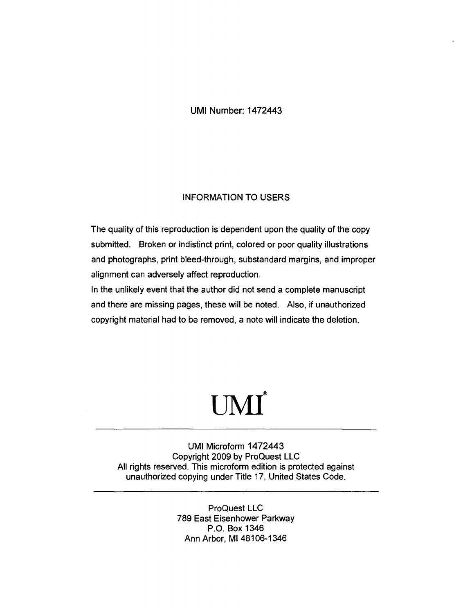UMI Number: 1472443

#### INFORMATION TO USERS

The quality of this reproduction is dependent upon the quality of the copy submitted. Broken or indistinct print, colored or poor quality illustrations and photographs, print bleed-through, substandard margins, and improper alignment can adversely affect reproduction.

In the unlikely event that the author did not send a complete manuscript and there are missing pages, these will be noted. Also, if unauthorized copyright material had to be removed, a note will indicate the deletion.

# **®**  UMI

UMI Microform 1472443 Copyright 2009 by ProQuest LLC All rights reserved. This microform edition is protected against unauthorized copying under Title 17, United States Code.

> ProQuest LLC 789 East Eisenhower Parkway P.O. Box 1346 Ann Arbor, Ml 48106-1346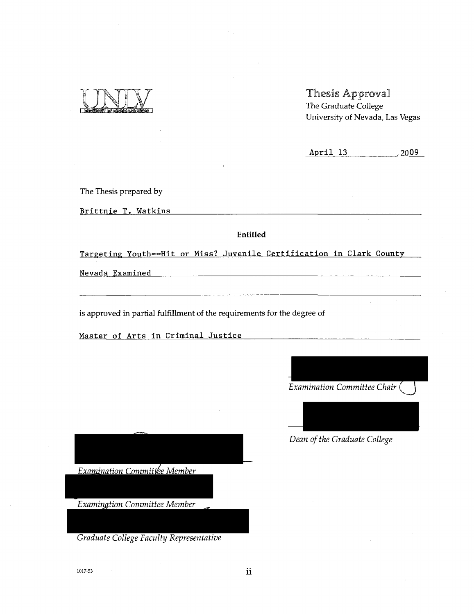

Thesis Approval The Graduate College University of Nevada, Las Vegas

April 13 , 2009

The Thesis prepared by

Brittnie T. Watkins

Entitled

Targeting Youth—Hit or Miss? Juvenile Certification in Clark County

Nevada Examined

is approved in partial fulfillment of the requirements for the degree of

Master of Arts in Criminal Justice

*Examination Committee Chair (* 



*Dean of the Graduate College* 

*Examination Committee Member* 

*Examination Committee Member* 

*Graduate College Faculty Representative* 

 $1017-53$  11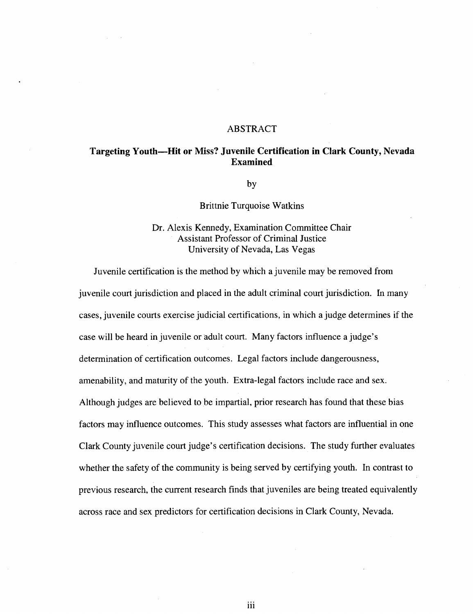#### ABSTRACT

#### **Targeting Youth—Hit or Miss? Juvenile Certification in Clark County, Nevada Examined**

by by

**Brittnie Turquoise Watkins** Brittnie Turquoise Watkins

Dr. Alexis Kennedy, Examination Committee Chair Assistant Professor of Criminal Justice University of Nevada, Las Vegas

Juvenile certification is the method by which a juvenile may be removed from juvenile court jurisdiction and placed in the adult criminal court jurisdiction. In many cases, juvenile courts exercise judicial certifications, in which a judge determines if the case will be heard in juvenile or adult court. Many factors influence a judge's determination of certification outcomes. Legal factors include dangerousness, amenability, and maturity of the youth. Extra-legal factors include race and sex. Although judges are believed to be impartial, prior research has found that these bias. factors may influence outcomes. This study assesses what factors are influential in one Clark County juven ile court judge's certification decisions. The study further evaluates whether the safety of the community is being served by certifying youth. In contrast to previous research, the current research finds that juveniles are being treated equivalently across race and sex predictors for certification decisions in Clark County, Nevada.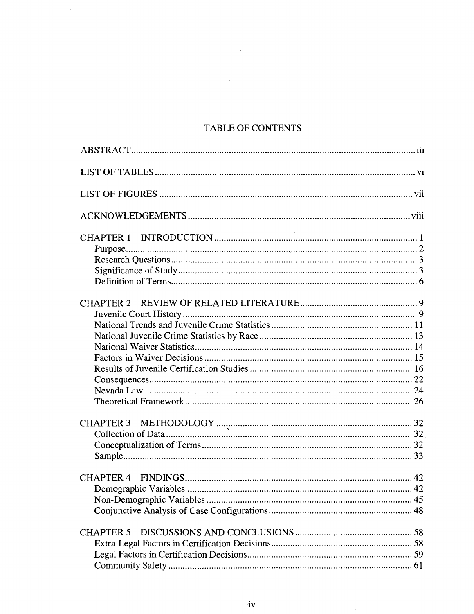### TABLE OF CONTENTS

 $\bar{z}$ 

 $\mathcal{L}$ 

| <b>CHAPTER 5</b> |
|------------------|
|                  |
|                  |
|                  |
|                  |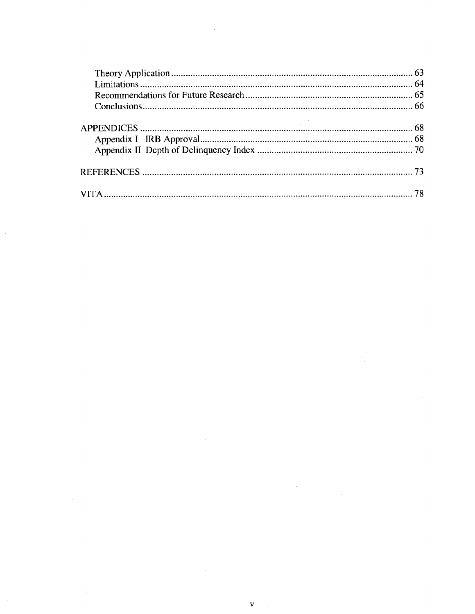$\label{eq:2.1} \frac{1}{\sqrt{2}}\int_{\mathbb{R}^3}\frac{1}{\sqrt{2}}\left(\frac{1}{\sqrt{2}}\right)^2\frac{1}{\sqrt{2}}\left(\frac{1}{\sqrt{2}}\right)^2\frac{1}{\sqrt{2}}\left(\frac{1}{\sqrt{2}}\right)^2\frac{1}{\sqrt{2}}\left(\frac{1}{\sqrt{2}}\right)^2.$ 

 $\label{eq:2.1} \frac{1}{\sqrt{2}}\left(\frac{1}{\sqrt{2}}\right)^{2} \left(\frac{1}{\sqrt{2}}\right)^{2} \left(\frac{1}{\sqrt{2}}\right)^{2} \left(\frac{1}{\sqrt{2}}\right)^{2} \left(\frac{1}{\sqrt{2}}\right)^{2} \left(\frac{1}{\sqrt{2}}\right)^{2} \left(\frac{1}{\sqrt{2}}\right)^{2} \left(\frac{1}{\sqrt{2}}\right)^{2} \left(\frac{1}{\sqrt{2}}\right)^{2} \left(\frac{1}{\sqrt{2}}\right)^{2} \left(\frac{1}{\sqrt{2}}\right)^{2} \left(\$ 

 $\label{eq:2.1} \frac{1}{\sqrt{2}}\sum_{i=1}^n\frac{1}{\sqrt{2}}\sum_{i=1}^n\frac{1}{\sqrt{2}}\sum_{i=1}^n\frac{1}{\sqrt{2}}\sum_{i=1}^n\frac{1}{\sqrt{2}}\sum_{i=1}^n\frac{1}{\sqrt{2}}\sum_{i=1}^n\frac{1}{\sqrt{2}}\sum_{i=1}^n\frac{1}{\sqrt{2}}\sum_{i=1}^n\frac{1}{\sqrt{2}}\sum_{i=1}^n\frac{1}{\sqrt{2}}\sum_{i=1}^n\frac{1}{\sqrt{2}}\sum_{i=1}^n\frac$ 

 $\label{eq:2.1} \frac{1}{2}\sum_{i=1}^n\frac{1}{2}\sum_{j=1}^n\frac{1}{2}\sum_{j=1}^n\frac{1}{2}\sum_{j=1}^n\frac{1}{2}\sum_{j=1}^n\frac{1}{2}\sum_{j=1}^n\frac{1}{2}\sum_{j=1}^n\frac{1}{2}\sum_{j=1}^n\frac{1}{2}\sum_{j=1}^n\frac{1}{2}\sum_{j=1}^n\frac{1}{2}\sum_{j=1}^n\frac{1}{2}\sum_{j=1}^n\frac{1}{2}\sum_{j=1}^n\frac{1}{2}\sum_{j=1}^n\$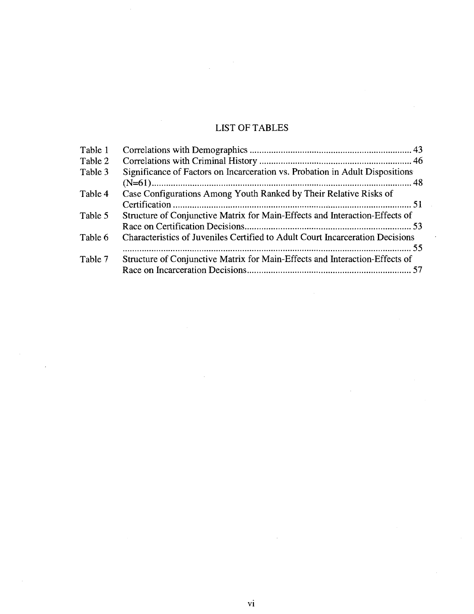## LIST OF TABLES

| Table 1 |                                                                               |
|---------|-------------------------------------------------------------------------------|
| Table 2 |                                                                               |
| Table 3 | Significance of Factors on Incarceration vs. Probation in Adult Dispositions  |
|         |                                                                               |
| Table 4 | Case Configurations Among Youth Ranked by Their Relative Risks of             |
|         |                                                                               |
| Table 5 | Structure of Conjunctive Matrix for Main-Effects and Interaction-Effects of   |
|         |                                                                               |
| Table 6 | Characteristics of Juveniles Certified to Adult Court Incarceration Decisions |
|         |                                                                               |
| Table 7 | Structure of Conjunctive Matrix for Main-Effects and Interaction-Effects of   |
|         |                                                                               |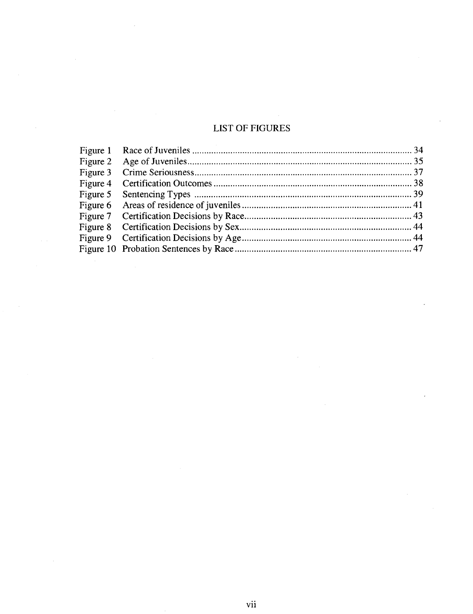## LIST OF FIGURES

 $\bar{\beta}$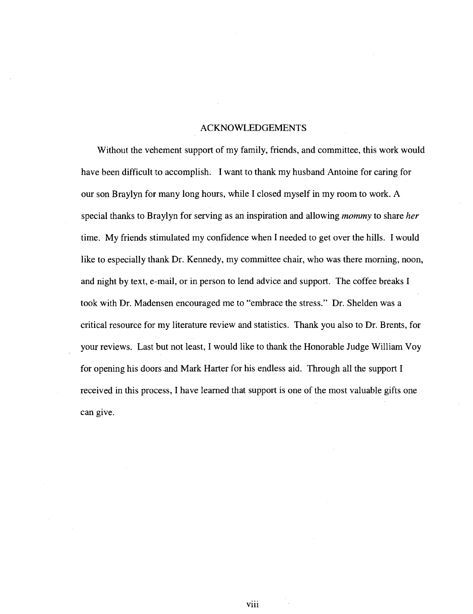#### ACKNOWLEDGEMENTS

Without the vehement support of my family, friends, and committee, this work would have been difficult to accomplish. I want to thank my husband Antoine for caring for our son Braylyn for many long hours, while I closed myself in my room to work. A special thanks to Braylyn for serving as an inspiration and allowing *mommy* to share *her*  time. My friends stimulated my confidence when I needed to get over the hills. I would like to especially thank Dr. Kennedy, my committee chair, who was there morning, noon, and night by text, e-mail, or in person to lend advice and support. The coffee breaks I took with Dr. Madensen encouraged me to "embrace the stress." Dr. Shelden was a critical resource for my literature review and statistics. Thank you also to Dr. Brents, for your reviews. Last but not least, I would like to thank the Honorable Judge William Voy for opening his doors and Mark Harter for his endless aid. Through all the support I received in this process, I have learned that support is one of the most valuable gifts one can give.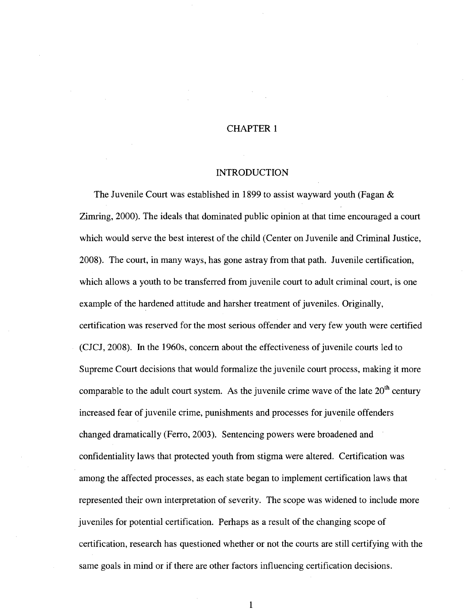#### CHAPTER 1

#### INTRODUCTION

The Juvenile Court was established in 1899 to assist wayward youth (Fagan & Zimring, 2000). The ideals that dominated public opinion at that time encouraged a court which would serve the best interest of the child (Center on Juvenile and Criminal Justice, 2008). The court, in many ways, has gone astray from that path. Juvenile certification, which allows a youth to be transferred from juvenile court to adult criminal court, is one example of the hardened attitude and harsher treatment of juveniles. Originally, certification was reserved for the most serious offender and very few youth were certified (CJCJ, 2008). In the 1960s, concern about the effectiveness of juvenile courts led to Supreme Court decisions that would formalize the juvenile court process, making it more comparable to the adult court system. As the juvenile crime wave of the late  $20<sup>th</sup>$  century increased fear of juvenile crime, punishments and processes for juvenile offenders changed dramatically (Ferro, 2003). Sentencing powers were broadened and confidentiality laws that protected youth from stigma were altered. Certification was among the affected processes, as each state began to implement certification laws that represented their own interpretation of severity. The scope was widened to include more juveniles for potential certification. Perhaps as a result of the changing scope of certification, research has questioned whether or not the courts are still certifying with the same goals in mind or if there are other factors influencing certification decisions.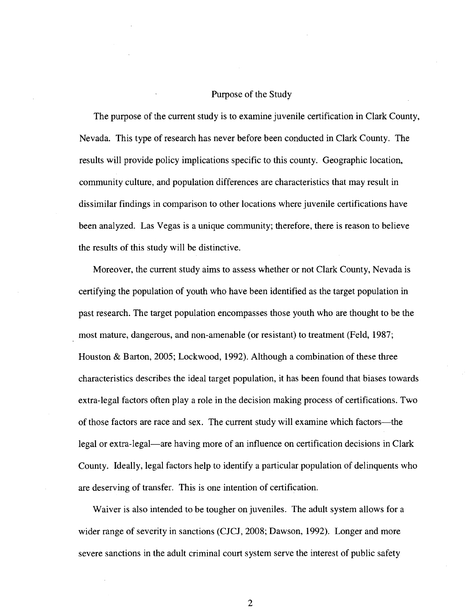#### Purpose of the Study

The purpose of the current study is to examine juvenile certification in Clark County, Nevada. This type of research has never before been conducted in Clark County. The results will provide policy implications specific to this county. Geographic location, community culture, and population differences are characteristics that may result in dissimilar findings in comparison to other locations where juvenile certifications have been analyzed. Las Vegas is a unique community; therefore, there is reason to believe the results of this study will be distinctive.

Moreover, the current study aims to assess whether or not Clark County, Nevada is certifying the population of youth who have been identified as the target population in past research. The target population encompasses those youth who are thought to be the most mature, dangerous, and non-amenable (or resistant) to treatment (Feld, 1987; Houston & Barton, 2005; Lockwood, 1992). Although a combination of these three characteristics describes the ideal target population, it has been found that biases towards extra-legal factors often play a role in the decision making process of certifications. Two of those factors are race and sex. The current study will examine which factors—the legal or extra-legal—are having more of an influence on certification decisions in Clark County. Ideally, legal factors help to identify a particular population of delinquents who are deserving of transfer. This is one intention of certification.

Waiver is also intended to be tougher on juveniles. The adult system allows for a wider range of severity in sanctions (CJCJ, 2008; Dawson, 1992). Longer and more severe sanctions in the adult criminal court system serve the interest of public safety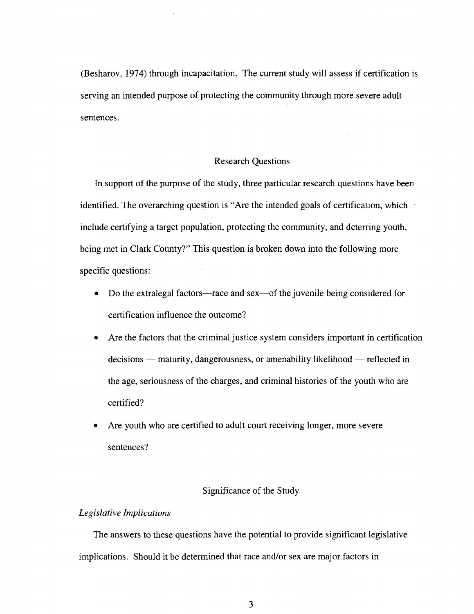(Besharov, 1974) through incapacitation. The current study will assess if certification is serving an intended purpose of protecting the community through more severe adult sentences.

#### Research Questions

In support of the purpose of the study, three particular research questions have been identified. The overarching question is "Are the intended goals of certification, which include certifying a target population, protecting the community, and deterring youth, being met in Clark County?" This question is broken down into the following more specific questions:

- Do the extralegal factors—race and sex—of the juvenile being considered for certification influence the outcome?
- Are the factors that the criminal justice system considers important in certification decisions — maturity, dangerousness, or amenability likelihood — reflected in the age, seriousness of the charges, and criminal histories of the youth who are certified?
- Are youth who are certified to adult court receiving longer, more severe sentences?

#### Significance of the Study

#### *Legislative Implications*

The answers to these questions have the potential to provide significant legislative implications. Should it be determined that race and/or sex are major factors in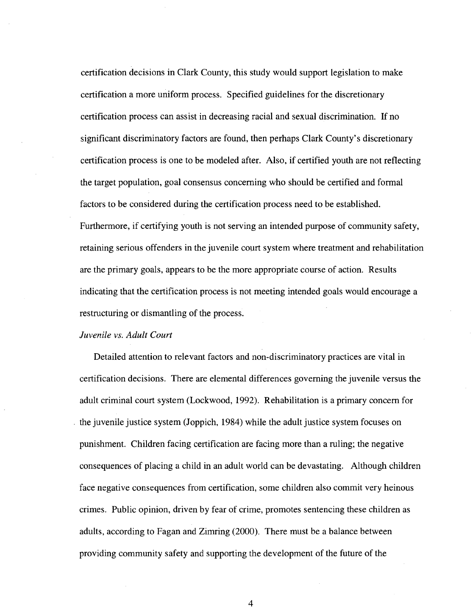certification decisions in Clark County, this study would support legislation to make certification a more uniform process. Specified guidelines for the discretionary certification process can assist in decreasing racial and sexual discrimination. If no significant discriminatory factors are found, then perhaps Clark County's discretionary certification process is one to be modeled after. Also, if certified youth are not reflecting the target population, goal consensus concerning who should be certified and formal factors to be considered during the certification process need to be established. Furthermore, if certifying youth is not serving an intended purpose of community safety, retaining serious offenders in the juvenile court system where treatment and rehabilitation are the primary goals, appears to be the more appropriate course of action. Results indicating that the certification process is not meeting intended goals would encourage a restructuring or dismantling of the process.

#### *Juvenile vs. Adult Court*

Detailed attention to relevant factors and non-discriminatory practices are vital in certification decisions. There are elemental differences governing the juvenile versus the adult criminal court system (Lockwood, 1992). Rehabilitation is a primary concern for the juvenile justice system (Joppich, 1984) while the adult justice system focuses on punishment. Children facing certification are facing more than a ruling; the negative consequences of placing a child in an adult world can be devastating. Although children face negative consequences from certification, some children also commit very heinous crimes. Public opinion, driven by fear of crime, promotes sentencing these children as adults, according to Fagan and Zimring (2000). There must be a balance between providing community safety and supporting the development of the future of the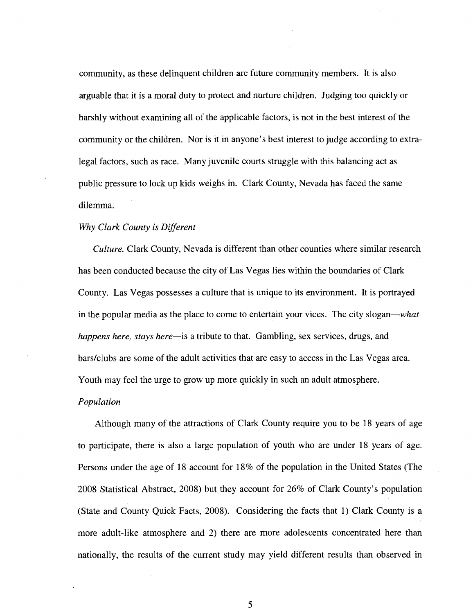community, as these delinquent children are future community members. It is also arguable that it is a moral duty to protect and nurture children. Judging too quickly or harshly without examining all of the applicable factors, is not in the best interest of the community or the children. Nor is it in anyone's best interest to judge according to extralegal factors, such as race. Many juvenile courts struggle with this balancing act as public pressure to lock up kids weighs in. Clark County, Nevada has faced the same dilemma.

#### *Why Clark County is Different*

*Culture.* Clark County, Nevada is different than other counties where similar research has been conducted because the city of Las Vegas lies within the boundaries of Clark County. Las Vegas possesses a culture that is unique to its environment. It is portrayed in the popular media as the place to come to entertain your vices. The city slogan—*what happens here, stays here*—is a tribute to that. Gambling, sex services, drugs, and bars/clubs are some of the adult activities that are easy to access in the Las Vegas area. Youth may feel the urge to grow up more quickly in such an adult atmosphere.

#### *Population*

Although many of the attractions of Clark County require you to be 18 years of age to participate, there is also a large population of youth who are under 18 years of age. Persons under the age of 18 account for 18% of the population in the United States (The 2008 Statistical Abstract, 2008) but they account for 26% of Clark County's population (State and County Quick Facts, 2008). Considering the facts that 1) Clark County is a more adult-like atmosphere and 2) there are more adolescents concentrated here than nationally, the results of the current study may yield different results than observed in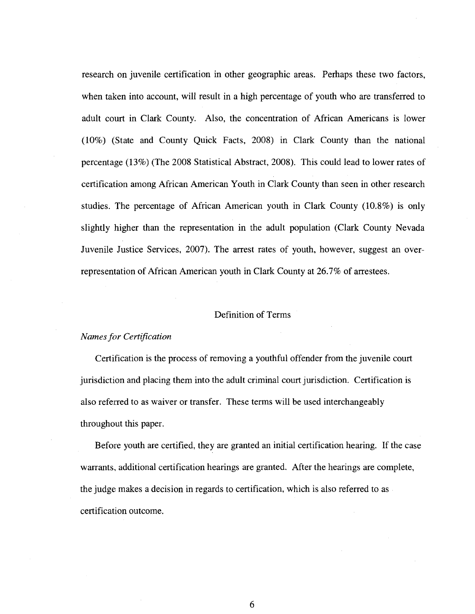research on juvenile certification in other geographic areas. Perhaps these two factors, when taken into account, will result in a high percentage of youth who are transferred to adult court in Clark County. Also, the concentration of African Americans is lower (10%) (State and County Quick Facts, 2008) in Clark County than the national percentage (13%) (The 2008 Statistical Abstract, 2008). This could lead to lower rates of certification among African American Youth in Clark County than seen in other research studies. The percentage of African American youth in Clark County (10.8%) is only slightly higher than the representation in the adult population (Clark County Nevada Juvenile Justice Services, 2007). The arrest rates of youth, however, suggest an overrepresentation of African American youth in Clark County at 26.7% of arrestees.

#### Definition of Terms

#### *Names for Certification*

Certification is the process of removing a youthful offender from the juvenile court jurisdiction and placing them into the adult criminal court jurisdiction. Certification is also referred to as waiver or transfer. These terms will be used interchangeably throughout this paper.

Before youth are certified, they are granted an initial certification hearing. If the case warrants, additional certification hearings are granted. After the hearings are complete, the judge makes a decision in regards to certification, which is also referred to as certification outcome.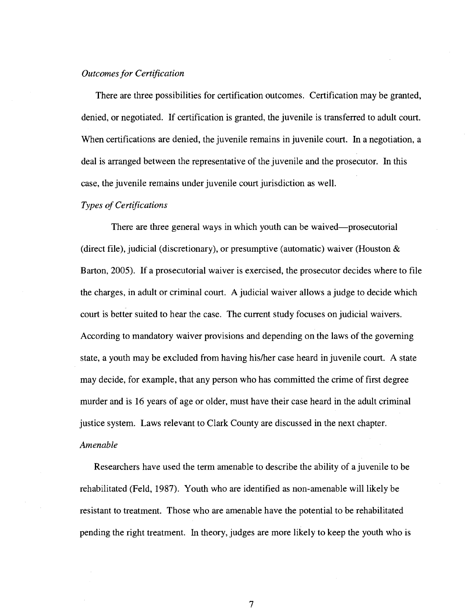#### *Outcomes for Certification*

There are three possibilities for certification outcomes. Certification may be granted, denied, or negotiated. If certification is granted, the juvenile is transferred to adult court. When certifications are denied, the juvenile remains in juvenile court. In a negotiation, a deal is arranged between the representative of the juvenile and the prosecutor. In this case, the juvenile remains under juvenile court jurisdiction as well.

#### *Types of Certifications*

There are three general ways in which youth can be waived—prosecutorial (direct file), judicial (discretionary), or presumptive (automatic) waiver (Houston & Barton, 2005). If a prosecutorial waiver is exercised, the prosecutor decides where to file the charges, in adult or criminal court. A judicial waiver allows a judge to decide which court is better suited to hear the case. The current study focuses on judicial waivers. According to mandatory waiver provisions and depending on the laws of the governing state, a youth may be excluded from having his/her case heard in juvenile court. A state may decide, for example, that any person who has committed the crime of first degree murder and is 16 years of age or older, must have their case heard in the adult criminal justice system. Laws relevant to Clark County are discussed in the next chapter. *Amenable* 

Researchers have used the term amenable to describe the ability of a juvenile to be rehabilitated (Feld, 1987). Youth who are identified as non-amenable will likely be resistant to treatment. Those who are amenable have the potential to be rehabilitated pending the right treatment. In theory, judges are more likely to keep the youth who is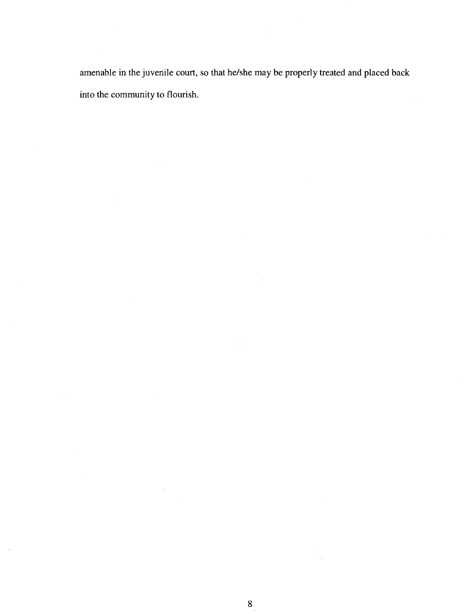amenable in the juvenile court, so that he/she may be properly treated and placed back into the community to flourish.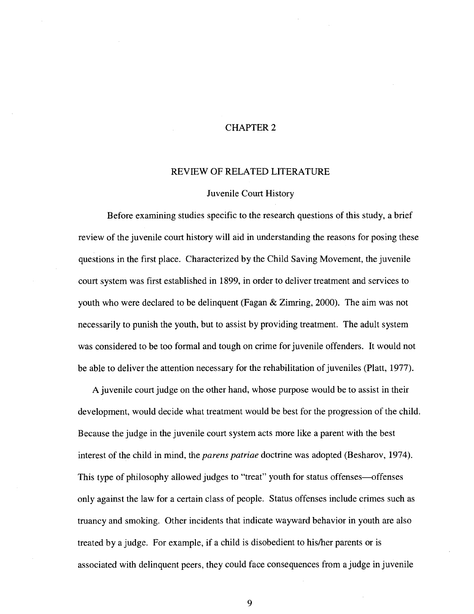#### CHAPTER 2

#### REVIEW OF RELATED LITERATURE

#### Juvenile Court History

Before examining studies specific to the research questions of this study, a brief review of the juvenile court history will aid in understanding the reasons for posing these questions in the first place. Characterized by the Child Saving Movement, the juvenile court system was first established in 1899, in order to deliver treatment and services to youth who were declared to be delinquent (Fagan & Zimring, 2000). The aim was not necessarily to punish the youth, but to assist by providing treatment. The adult system was considered to be too formal and tough on crime for juvenile offenders. It would not be able to deliver the attention necessary for the rehabilitation of juveniles (Piatt, 1977).

A juvenile court judge on the other hand, whose purpose would be to assist in their development, would decide what treatment would be best for the progression of the child. Because the judge in the juvenile court system acts more like a parent with the best interest of the child in mind, the *parens patriae* doctrine was adopted (Besharov, 1974). This type of philosophy allowed judges to "treat" youth for status offenses—offenses only against the law for a certain class of people. Status offenses include crimes such as truancy and smoking. Other incidents that indicate wayward behavior in youth are also treated by a judge. For example, if a child is disobedient to his/her parents or is associated with delinquent peers, they could face consequences from a judge in juvenile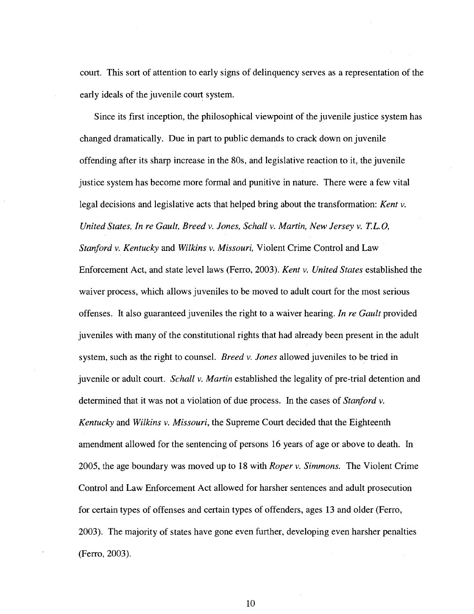court. This sort of attention to early signs of delinquency serves as a representation of the early ideals of the juvenile court system.

Since its first inception, the philosophical viewpoint of the juvenile justice system has changed dramatically. Due in part to public demands to crack down on juvenile offending after its sharp increase in the 80s, and legislative reaction to it, the juvenile justice system has become more formal and punitive in nature. There were a few vital legal decisions and legislative acts that helped bring about the transformation: *Kent* v. *United States, In re Gault, Breed v. Jones, Schallv. Martin, New Jersey* v. *T.L.O, Stanford v. Kentucky* and *Wilkins v. Missouri,* Violent Crime Control and Law Enforcement Act, and state level laws (Ferro, 2003). *Kent* v. *United States* established the waiver process, which allows juveniles to be moved to adult court for the most serious offenses. It also guaranteed juveniles the right to a waiver hearing. *In re Gault* provided juveniles with many of the constitutional rights that had already been present in the adult system, such as the right to counsel. *Breed* v. *Jones* allowed juveniles to be tried in juvenile or adult court. *Schall* v. *Martin* established the legality of pre-trial detention and determined that it was not a violation of due process. In the cases of *Stanford v. Kentucky* and *Wilkins v. Missouri,* the Supreme Court decided that the Eighteenth amendment allowed for the sentencing of persons 16 years of age or above to death. In 2005, the age boundary was moved up to 18 with *Roper v. Simmons.* The Violent Crime Control and Law Enforcement Act allowed for harsher sentences and adult prosecution for certain types of offenses and certain types of offenders, ages 13 and older (Ferro, 2003). The majority of states have gone even further, developing even harsher penalties (Ferro, 2003).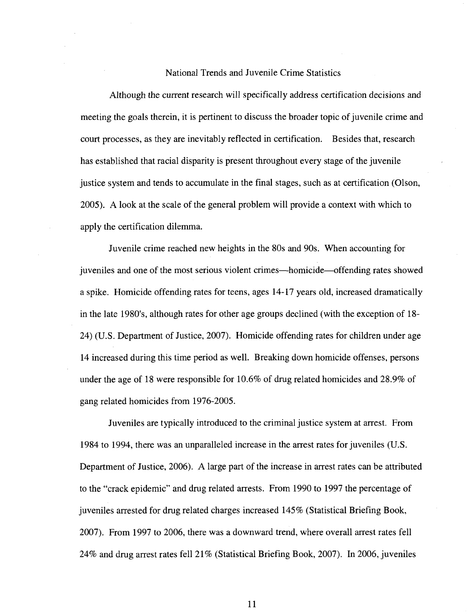#### National Trends and Juvenile Crime Statistics

Although the current research will specifically address certification decisions and meeting the goals therein, it is pertinent to discuss the broader topic of juvenile crime and court processes, as they are inevitably reflected in certification. Besides that, research has established that racial disparity is present throughout every stage of the juvenile justice system and tends to accumulate in the final stages, such as at certification (Olson, 2005). A look at the scale of the general problem will provide a context with which to apply the certification dilemma.

Juvenile crime reached new heights in the 80s and 90s. When accounting for juveniles and one of the most serious violent crimes—homicide—offending rates showed a spike. Homicide offending rates for teens, ages 14-17 years old, increased dramatically in the late 1980's, although rates for other age groups declined (with the exception of 18- 24) (U.S. Department of Justice, 2007). Homicide offending rates for children under age 14 increased during this time period as well. Breaking down homicide offenses, persons under the age of 18 were responsible for 10.6% of drug related homicides and 28.9% of gang related homicides from 1976-2005.

Juveniles are typically introduced to the criminal justice system at arrest. From 1984 to 1994, there was an unparalleled increase in the arrest rates for juveniles (U.S. Department of Justice, 2006). A large part of the increase in arrest rates can be attributed to the "crack epidemic" and drug related arrests. From 1990 to 1997 the percentage of juveniles arrested for drug related charges increased 145% (Statistical Briefing Book, 2007). From 1997 to 2006, there was a downward trend, where overall arrest rates fell 24% and drug arrest rates fell 21% (Statistical Briefing Book, 2007). In 2006, juveniles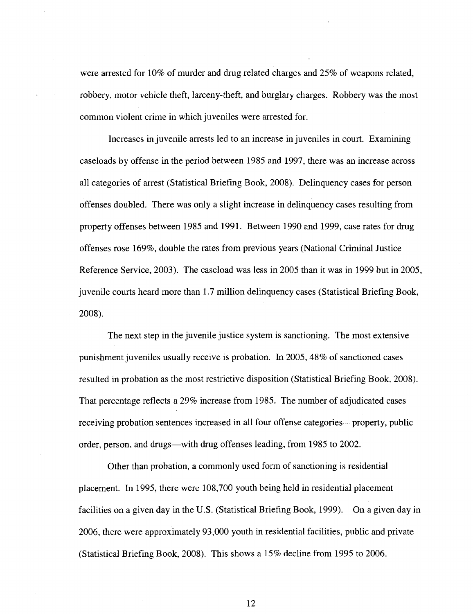were arrested for 10% of murder and drug related charges and 25% of weapons related, robbery, motor vehicle theft, larceny-theft, and burglary charges. Robbery was the most common violent crime in which juveniles were arrested for.

Increases in juvenile arrests led to an increase in juveniles in court. Examining caseloads by offense in the period between 1985 and 1997, there was an increase across all categories of arrest (Statistical Briefing Book, 2008). Delinquency cases for person offenses doubled. There was only a slight increase in delinquency cases resulting from property offenses between 1985 and 1991. Between 1990 and 1999, case rates for drug offenses rose 169%, double the rates from previous years (National Criminal Justice Reference Service, 2003). The caseload was less in 2005 than it was in 1999 but in 2005, juvenile courts heard more than 1.7 million delinquency cases (Statistical Briefing Book, 2008).

The next step in the juvenile justice system is sanctioning. The most extensive punishment juveniles usually receive is probation. In 2005,48% of sanctioned cases resulted in probation as the most restrictive disposition (Statistical Briefing Book, 2008). That percentage reflects a 29% increase from 1985. The number of adjudicated cases receiving probation sentences increased in all four offense categories—property, public order, person, and drugs—with drug offenses leading, from 1985 to 2002.

Other than probation, a commonly used form of sanctioning is residential placement. In 1995, there were 108,700 youth being held in residential placement facilities on a given day in the U.S. (Statistical Briefing Book, 1999). On a given day in 2006, there were approximately 93,000 youth in residential facilities, public and private (Statistical Briefing Book, 2008). This shows a 15% decline from 1995 to 2006.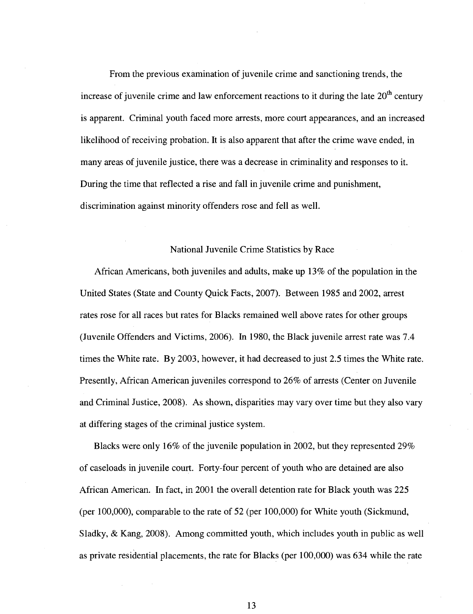From the previous examination of juvenile crime and sanctioning trends, the increase of juvenile crime and law enforcement reactions to it during the late  $20<sup>th</sup>$  century is apparent. Criminal youth faced more arrests, more court appearances, and an increased likelihood of receiving probation. It is also apparent that after the crime wave ended, in many areas of juvenile justice, there was a decrease in criminality and responses to it. During the time that reflected a rise and fall in juvenile crime and punishment, discrimination against minority offenders rose and fell as well.

#### National Juvenile Crime Statistics by Race

African Americans, both juveniles and adults, make up 13% of the population in the United States (State and County Quick Facts, 2007). Between 1985 and 2002, arrest rates rose for all races but rates for Blacks remained well above rates for other groups (Juvenile Offenders and Victims, 2006). In 1980, the Black juvenile arrest rate was 7.4 times the White rate. By 2003, however, it had decreased to just 2.5 times the White rate. Presently, African American juveniles correspond to 26% of arrests (Center on Juvenile and Criminal Justice, 2008). As shown, disparities may vary over time but they also vary at differing stages of the criminal justice system.

Blacks were only 16% of the juvenile population in 2002, but they represented 29% of caseloads in juvenile court. Forty-four percent of youth who are detained are also African American. In fact, in 2001 the overall detention rate for Black youth was 225 (per 100,000), comparable to the rate of 52 (per 100,000) for White youth (Sickmund, Sladky, & Kang, 2008). Among committed youth, which includes youth in public as well as private residential placements, the rate for Blacks (per 100,000) was 634 while the rate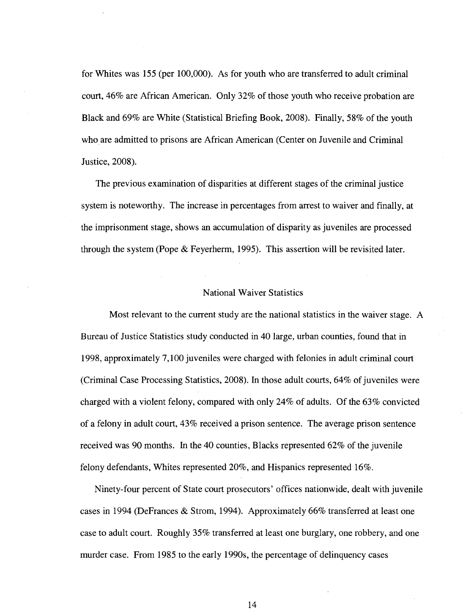for Whites was 155 (per 100,000). As for youth who are transferred to adult criminal court, 46% are African American. Only 32% of those youth who receive probation are Black and 69% are White (Statistical Briefing Book, 2008). Finally, 58% of the youth who are admitted to prisons are African American (Center on Juvenile and Criminal Justice, 2008).

The previous examination of disparities at different stages of the criminal justice system is noteworthy. The increase in percentages from arrest to waiver and finally, at the imprisonment stage, shows an accumulation of disparity as juveniles are processed through the system (Pope & Feyerherm, 1995). This assertion will be revisited later.

#### National Waiver Statistics

Most relevant to the current study are the national statistics in the waiver stage. A Bureau of Justice Statistics study conducted in 40 large, urban counties, found that in 1998, approximately 7,100 juveniles were charged with felonies in adult criminal court (Criminal Case Processing Statistics, 2008). In those adult courts, 64% of juveniles were charged with a violent felony, compared with only 24% of adults. Of the 63% convicted of a felony in adult court, 43% received a prison sentence. The average prison sentence received was 90 months. In the 40 counties, Blacks represented 62% of the juvenile felony defendants, Whites represented 20%, and Hispanics represented 16%.

Ninety-four percent of State court prosecutors' offices nationwide, dealt with juvenile cases in 1994 (DeFrances & Strom, 1994). Approximately 66% transferred at least one case to adult court. Roughly 35% transferred at least one burglary, one robbery, and one murder case. From 1985 to the early 1990s, the percentage of delinquency cases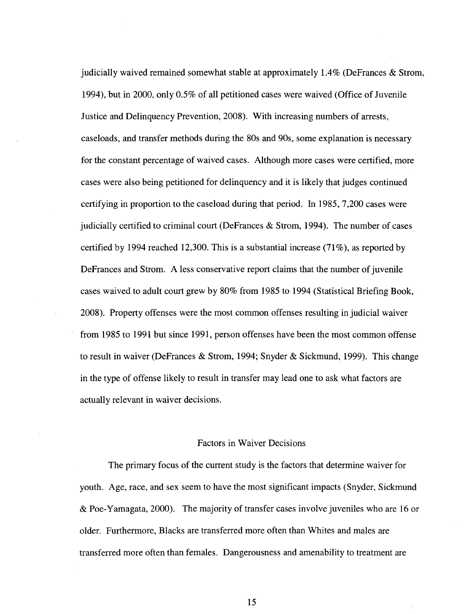judicially waived remained somewhat stable at approximately 1.4% (DeFrances & Strom, 1994), but in 2000, only 0.5% of all petitioned cases were waived (Office of Juvenile Justice and Delinquency Prevention, 2008). With increasing numbers of arrests, caseloads, and transfer methods during the 80s and 90s, some explanation is necessary for the constant percentage of waived cases. Although more cases were certified, more cases were also being petitioned for delinquency and it is likely that judges continued certifying in proportion to the caseload during that period. In 1985, 7,200 cases were judicially certified to criminal court (DeFrances  $\&$  Strom, 1994). The number of cases certified by 1994 reached 12,300. This is a substantial increase (71%), as reported by DeFrances and Strom. A less conservative report claims that the number of juvenile cases waived to adult court grew by 80% from 1985 to 1994 (Statistical Briefing Book, 2008). Property offenses were the most common offenses resulting injudicial waiver from 1985 to 1991 but since 1991, person offenses have been the most common offense to result in waiver (DeFrances & Strom, 1994; Snyder & Sickmund, 1999). This change in the type of offense likely to result in transfer may lead one to ask what factors are actually relevant in waiver decisions.

#### Factors in Waiver Decisions

The primary focus of the current study is the factors that determine waiver for youth. Age, race, and sex seem to have the most significant impacts (Snyder, Sickmund & Poe-Yamagata, 2000). The majority of transfer cases involve juveniles who are 16 or older. Furthermore, Blacks are transferred more often than Whites and males are transferred more often than females. Dangerousness and amenability to treatment are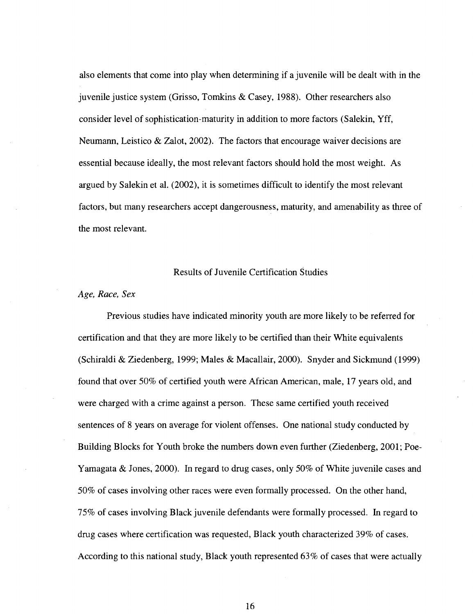also elements that come into play when determining if a juvenile will be dealt with in the juvenile justice system (Grisso, Tomkins & Casey, 1988). Other researchers also consider level of sophistication-maturity in addition to more factors (Salekin, Yff, Neumann, Leistico & Zalot, 2002). The factors that encourage waiver decisions are essential because ideally, the most relevant factors should hold the most weight. As argued by Salekin et al. (2002), it is sometimes difficult to identify the most relevant factors, but many researchers accept dangerousness, maturity, and amenability as three of the most relevant.

#### Results of Juvenile Certification Studies

#### *Age, Race, Sex*

Previous studies have indicated minority youth are more likely to be referred for certification and that they are more likely to be certified than their White equivalents (Schiraldi & Ziedenberg, 1999; Males & Macallair, 2000). Snyder and Sickmund (1999) found that over 50% of certified youth were African American, male, 17 years old, and were charged with a crime against a person. These same certified youth received sentences of 8 years on average for violent offenses. One national study conducted by Building Blocks for Youth broke the numbers down even further (Ziedenberg, 2001; Poe-Yamagata & Jones, 2000). In regard to drug cases, only 50% of White juvenile cases and 50% of cases involving other races were even formally processed. On the other hand, 75% of cases involving Black juvenile defendants were formally processed. In regard to drug cases where certification was requested, Black youth characterized 39% of cases. According to this national study, Black youth represented 63% of cases that were actually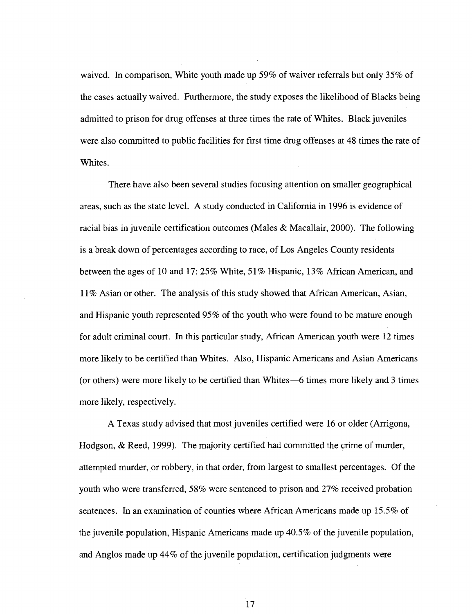waived. In comparison, White youth made up 59% of waiver referrals but only 35% of the cases actually waived. Furthermore, the study exposes the likelihood of Blacks being admitted to prison for drug offenses at three times the rate of Whites. Black juveniles were also committed to public facilities for first time drug offenses at 48 times the rate of Whites.

There have also been several studies focusing attention on smaller geographical areas, such as the state level. A study conducted in California in 1996 is evidence of racial bias in juvenile certification outcomes (Males & Macallair, 2000). The following is a break down of percentages according to race, of Los Angeles County residents between the ages of 10 and 17: 25% White, 51% Hispanic, 13% African American, and 11% Asian or other. The analysis of this study showed that African American, Asian, and Hispanic youth represented 95% of the youth who were found to be mature enough for adult criminal court. In this particular study, African American youth were 12 times more likely to be certified than Whites. Also, Hispanic Americans and Asian Americans (or others) were more likely to be certified than Whites—6 times more likely and 3 times more likely, respectively.

A Texas study advised that most juveniles certified were 16 or older (Arrigona, Hodgson, & Reed, 1999). The majority certified had committed the crime of murder, attempted murder, or robbery, in that order, from largest to smallest percentages. Of the youth who were transferred, 58% were sentenced to prison and 27% received probation sentences. In an examination of counties where African Americans made up 15.5% of the juvenile population, Hispanic Americans made up 40.5% of the juvenile population, and Anglos made up 44% of the juvenile population, certification judgments were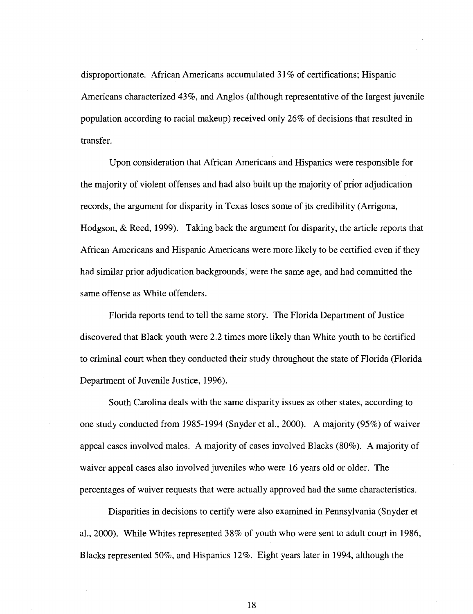disproportionate. African Americans accumulated 31% of certifications; Hispanic Americans characterized 43%, and Anglos (although representative of the largest juvenile population according to racial makeup) received only 26% of decisions that resulted in transfer.

Upon consideration that African Americans and Hispanics were responsible for the majority of violent offenses and had also built up the majority of prior adjudication records, the argument for disparity in Texas loses some of its credibility (Arrigona, Hodgson, & Reed, 1999). Taking back the argument for disparity, the article reports that African Americans and Hispanic Americans were more likely to be certified even if they had similar prior adjudication backgrounds, were the same age, and had committed the same offense as White offenders.

Florida reports tend to tell the same story. The Florida Department of Justice discovered that Black youth were 2.2 times more likely than White youth to be certified to criminal court when they conducted their study throughout the state of Florida (Florida Department of Juvenile Justice, 1996).

South Carolina deals with the same disparity issues as other states, according to one study conducted from 1985-1994 (Snyder et al., 2000). A majority (95%) of waiver appeal cases involved males. A majority of cases involved Blacks (80%). A majority of waiver appeal cases also involved juveniles who were 16 years old or older. The percentages of waiver requests that were actually approved had the same characteristics.

Disparities in decisions to certify were also examined in Pennsylvania (Snyder et al., 2000). While Whites represented 38% of youth who were sent to adult court in 1986, Blacks represented 50%, and Hispanics 12%. Eight years later in 1994, although the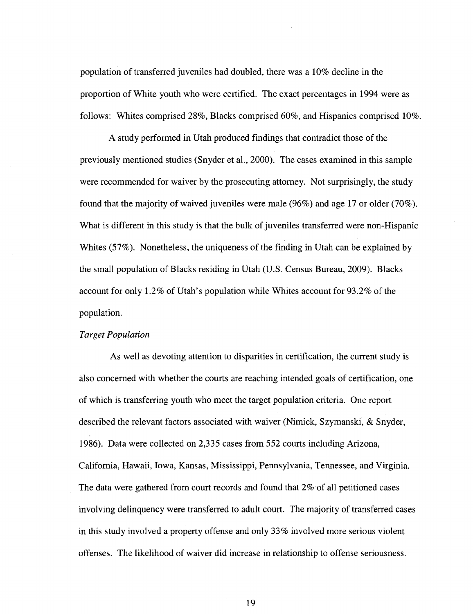population of transferred juveniles had doubled, there was a 10% decline in the proportion of White youth who were certified. The exact percentages in 1994 were as follows: Whites comprised 28%, Blacks comprised 60%, and Hispanics comprised 10%.

A study performed in Utah produced findings that contradict those of the previously mentioned studies (Snyder et al., 2000). The cases examined in this sample were recommended for waiver by the prosecuting attorney. Not surprisingly, the study found that the majority of waived juveniles were male (96%) and age 17 or older (70%). What is different in this study is that the bulk of juveniles transferred were non-Hispanic Whites (57%). Nonetheless, the uniqueness of the finding in Utah can be explained by the small population of Blacks residing in Utah (U.S. Census Bureau, 2009). Blacks account for only 1.2% of Utah's population while Whites account for 93.2% of the population.

#### *Target Population*

As well as devoting attention to disparities in certification, the current study is also concerned with whether the courts are reaching intended goals of certification, one of which is transferring youth who meet the target population criteria. One report described the relevant factors associated with waiver (Nimick, Szymanski, & Snyder, 1986). Data were collected on 2,335 cases from 552 courts including Arizona, California, Hawaii, Iowa, Kansas, Mississippi, Pennsylvania, Tennessee, and Virginia. The data were gathered from court records and found that 2% of all petitioned cases involving delinquency were transferred to adult court. The majority of transferred cases in this study involved a property offense and only 33% involved more serious violent offenses. The likelihood of waiver did increase in relationship to offense seriousness.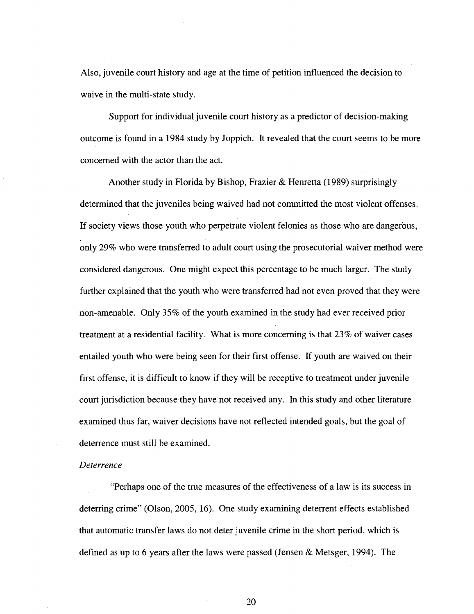Also, juvenile court history and age at the time of petition influenced the decision to waive in the multi-state study.

Support for individual juvenile court history as a predictor of decision-making outcome is found in a 1984 study by Joppich. It revealed that the court seems to be more concerned with the actor than the act.

Another study in Florida by Bishop, Frazier & Henretta (1989) surprisingly determined that the juveniles being waived had not committed the most violent offenses. If society views those youth who perpetrate violent felonies as those who are dangerous, only 29% who were transferred to adult court using the prosecutorial waiver method were considered dangerous. One might expect this percentage to be much larger. The study further explained that the youth who were transferred had not even proved that they were non-amenable. Only 35% of the youth examined in the study had ever received prior treatment at a residential facility. What is more concerning is that 23% of waiver cases entailed youth who were being seen for their first offense. If youth are waived on their first offense, it is difficult to know if they will be receptive to treatment under juvenile court jurisdiction because they have not received any. In this study and other literature examined thus far, waiver decisions have not reflected intended goals, but the goal of deterrence must still be examined.

#### *Deterrence*

"Perhaps one of the true measures of the effectiveness of a law is its success in deterring crime" (Olson, 2005, 16). One study examining deterrent effects established that automatic transfer laws do not deter juvenile crime in the short period, which is defined as up to 6 years after the laws were passed (Jensen & Metsger, 1994). The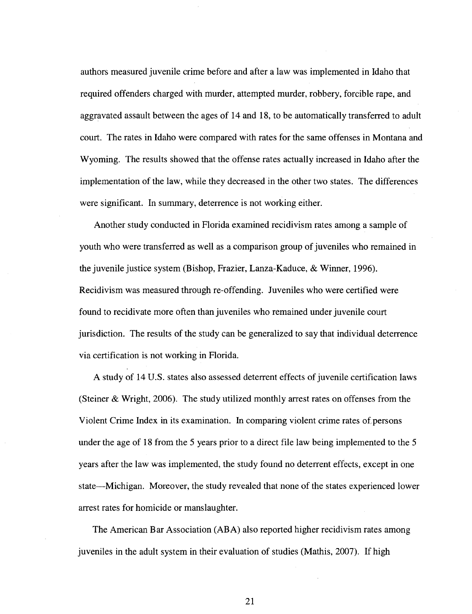authors measured juvenile crime before and after a law was implemented in Idaho that required offenders charged with murder, attempted murder, robbery, forcible rape, and aggravated assault between the ages of 14 and 18, to be automatically transferred to adult court. The rates in Idaho were compared with rates for the same offenses in Montana and Wyoming. The results showed that the offense rates actually increased in Idaho after the implementation of the law, while they decreased in the other two states. The differences were significant. In summary, deterrence is not working either.

Another study conducted in Florida examined recidivism rates among a sample of youth who were transferred as well as a comparison group of juveniles who remained in the juvenile justice system (Bishop, Frazier, Lanza-Kaduce, & Winner, 1996). Recidivism was measured through re-offending. Juveniles who were certified were found to recidivate more often than juveniles who remained under juvenile court jurisdiction. The results of the study can be generalized to say that individual deterrence via certification is not working in Florida.

A study of 14 U.S. states also assessed deterrent effects of juvenile certification laws (Steiner & Wright, 2006). The study utilized monthly arrest rates on offenses from the Violent Crime Index in its examination. In comparing violent crime rates of persons under the age of 18 from the 5 years prior to a direct file law being implemented to the 5 years after the law was implemented, the study found no deterrent effects, except in one state—Michigan. Moreover, the study revealed that none of the states experienced lower arrest rates for homicide or manslaughter.

The American Bar Association (ABA) also reported higher recidivism rates among juveniles in the adult system in their evaluation of studies (Mathis, 2007). If high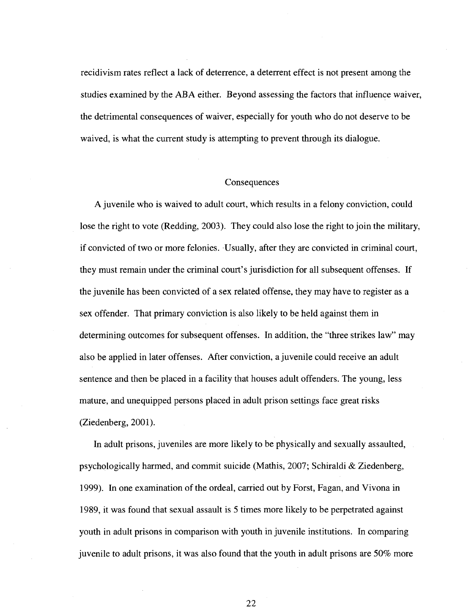recidivism rates reflect a lack of deterrence, a deterrent effect is not present among the studies examined by the ABA either. Beyond assessing the factors that influence waiver, the detrimental consequences of waiver, especially for youth who do not deserve to be waived, is what the current study is attempting to prevent through its dialogue.

#### **Consequences**

A juvenile who is waived to adult court, which results in a felony conviction, could lose the right to vote (Redding, 2003). They could also lose the right to join the military, if convicted of two or more felonies. Usually, after they are convicted in criminal court, they must remain under the criminal court's jurisdiction for all subsequent offenses. If the juvenile has been convicted of a sex related offense, they may have to register as a sex offender. That primary conviction is also likely to be held against them in determining outcomes for subsequent offenses. In addition, the "three strikes law" may also be applied in later offenses. After conviction, a juvenile could receive an adult sentence and then be placed in a facility that houses adult offenders. The young, less mature, and unequipped persons placed in adult prison settings face great risks (Ziedenberg, 2001).

In adult prisons, juveniles are more likely to be physically and sexually assaulted, psychologically harmed, and commit suicide (Mathis, 2007; Schiraldi & Ziedenberg, 1999). In one examination of the ordeal, carried out by Forst, Fagan, and Vivona in 1989, it was found that sexual assault is 5 times more likely to be perpetrated against youth in adult prisons in comparison with youth in juvenile institutions. In comparing juvenile to adult prisons, it was also found that the youth in adult prisons are 50% more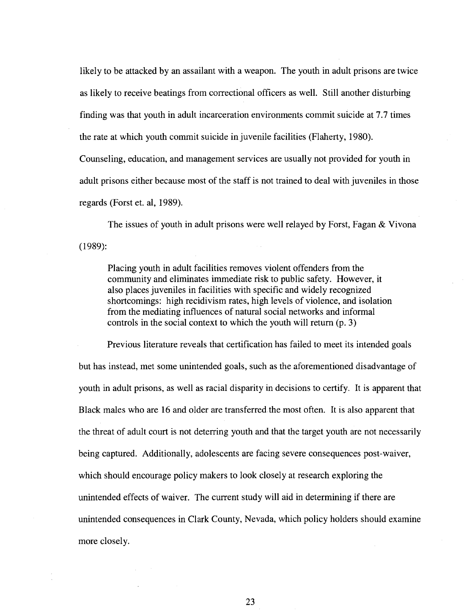likely to be attacked by an assailant with a weapon. The youth in adult prisons are twice as likely to receive beatings from correctional officers as well. Still another disturbing finding was that youth in adult incarceration environments commit suicide at 7.7 times the rate at which youth commit suicide in juvenile facilities (Flaherty, 1980).

Counseling, education, and management services are usually not provided for youth in adult prisons either because most of the staff is not trained to deal with juveniles in those regards (Forst et. al, 1989).

The issues of youth in adult prisons were well relayed by Forst, Fagan & Vivona (1989):

Placing youth in adult facilities removes violent offenders from the community and eliminates immediate risk to public safety. However, it also places juveniles in facilities with specific and widely recognized shortcomings: high recidivism rates, high levels of violence, and isolation from the mediating influences of natural social networks and informal controls in the social context to which the youth will return (p. 3)

Previous literature reveals that certification has failed to meet its intended goals but has instead, met some unintended goals, such as the aforementioned disadvantage of youth in adult prisons, as well as racial disparity in decisions to certify. It is apparent that Black males who are 16 and older are transferred the most often. It is also apparent that the threat of adult court is not deterring youth and that the target youth are not necessarily being captured. Additionally, adolescents are facing severe consequences post-waiver, which should encourage policy makers to look closely at research exploring the unintended effects of waiver. The current study will aid in determining if there are unintended consequences in Clark County, Nevada, which policy holders should examine more closely.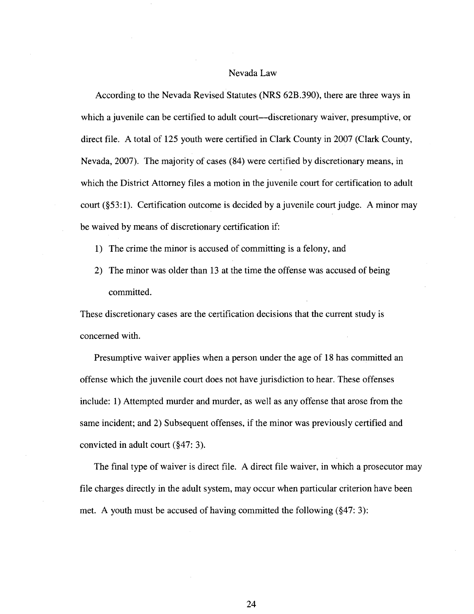#### Nevada Law

According to the Nevada Revised Statutes (NRS 62B.390), there are three ways in which a juvenile can be certified to adult court—discretionary waiver, presumptive, or direct file. A total of 125 youth were certified in Clark County in 2007 (Clark County, Nevada, 2007). The majority of cases (84) were certified by discretionary means, in which the District Attorney files a motion in the juvenile court for certification to adult court (§53:1). Certification outcome is decided by a juvenile court judge. A minor may be waived by means of discretionary certification if:

- 1) The crime the minor is accused of committing is a felony, and
- 2) The minor was older than 13 at the time the offense was accused of being committed.

These discretionary cases are the certification decisions that the current study is concerned with.

Presumptive waiver applies when a person under the age of 18 has committed an offense which the juvenile court does not have jurisdiction to hear. These offenses include: 1) Attempted murder and murder, as well as any offense that arose from the same incident; and 2) Subsequent offenses, if the minor was previously certified and convicted in adult court (§47: 3).

The final type of waiver is direct file. A direct file waiver, in which a prosecutor may file charges directly in the adult system, may occur when particular criterion have been met. A youth must be accused of having committed the following (§47: 3):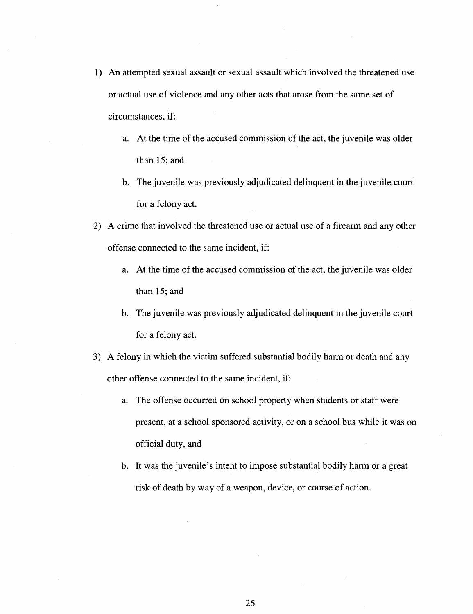- 1) An attempted sexual assault or sexual assault which involved the threatened use or actual use of violence and any other acts that arose from the same set of circumstances, if:
	- a. At the time of the accused commission of the act, the juvenile was older than 15; and
	- b. The juvenile was previously adjudicated delinquent in the juvenile court for a felony act.
- 2) A crime that involved the threatened use or actual use of a firearm and any other offense connected to the same incident, if:
	- a. At the time of the accused commission of the act, the juvenile was older than 15; and
	- b. The juvenile was previously adjudicated delinquent in the juvenile court for a felony act.
- 3) A felony in which the victim suffered substantial bodily harm or death and any other offense connected to the same incident, if:
	- a. The offense occurred on school property when students or staff were present, at a school sponsored activity, or on a school bus while it was on official duty, and
	- b. It was the juvenile's intent to impose substantial bodily harm or a great risk of death by way of a weapon, device, or course of action.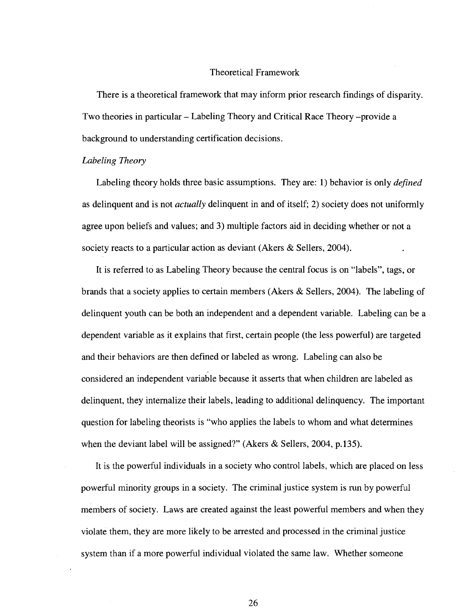#### Theoretical Framework

There is a theoretical framework that may inform prior research findings of disparity. Two theories in particular - Labeling Theory and Critical Race Theory -provide a background to understanding certification decisions.

#### *Labeling Theory*

Labeling theory holds three basic assumptions. They are: 1) behavior is only *defined*  as delinquent and is not *actually* delinquent in and of itself; 2) society does not uniformly agree upon beliefs and values; and 3) multiple factors aid in deciding whether or not a society reacts to a particular action as deviant (Akers & Sellers, 2004).

It is referred to as Labeling Theory because the central focus is on "labels", tags, or brands that a society applies to certain members (Akers & Sellers, 2004). The labeling of delinquent youth can be both an independent and a dependent variable. Labeling can be a dependent variable as it explains that first, certain people (the less powerful) are targeted and their behaviors are then defined or labeled as wrong. Labeling can also be considered an independent variable because it asserts that when children are labeled as delinquent, they internalize their labels, leading to additional delinquency. The important question for labeling theorists is "who applies the labels to whom and what determines when the deviant label will be assigned?" (Akers  $\&$  Sellers, 2004, p.135).

It is the powerful individuals in a society who control labels, which are placed on less powerful minority groups in a society. The criminal justice system is run by powerful members of society. Laws are created against the least powerful members and when they violate them, they are more likely to be arrested and processed in the criminal justice system than if a more powerful individual violated the same law. Whether someone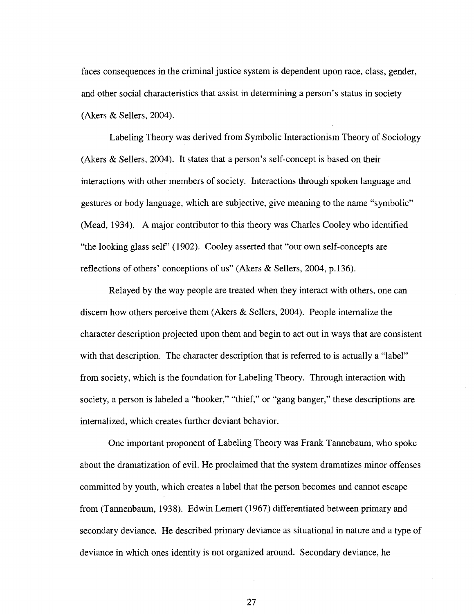faces consequences in the criminal justice system is dependent upon race, class, gender, and other social characteristics that assist in determining a person's status in society (Akers & Sellers, 2004).

Labeling Theory was derived from Symbolic Interactionism Theory of Sociology (Akers & Sellers, 2004). It states that a person's self-concept is based on their interactions with other members of society. Interactions through spoken language and gestures or body language, which are subjective, give meaning to the name "symbolic" (Mead, 1934). A major contributor to this theory was Charles Cooley who identified "the looking glass self" (1902). Cooley asserted that "our own self-concepts are reflections of others' conceptions of us" (Akers  $\&$  Sellers, 2004, p.136).

Relayed by the way people are treated when they interact with others, one can discern how others perceive them (Akers & Sellers, 2004). People internalize the character description projected upon them and begin to act out in ways that are consistent with that description. The character description that is referred to is actually a "label" from society, which is the foundation for Labeling Theory. Through interaction with society, a person is labeled a "hooker," "thief," or "gang banger," these descriptions are internalized, which creates further deviant behavior.

One important proponent of Labeling Theory was Frank Tannebaum, who spoke about the dramatization of evil. He proclaimed that the system dramatizes minor offenses committed by youth, which creates a label that the person becomes and cannot escape from (Tannenbaum, 1938). Edwin Lemert (1967) differentiated between primary and secondary deviance. He described primary deviance as situational in nature and a type of deviance in which ones identity is not organized around. Secondary deviance, he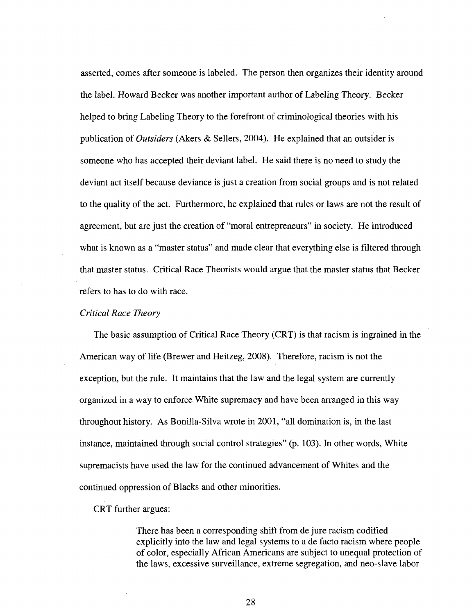asserted, comes after someone is labeled. The person then organizes their identity around the label. Howard Becker was another important author of Labeling Theory. Becker helped to bring Labeling Theory to the forefront of criminological theories with his publication of *Outsiders* (Akers & Sellers, 2004). He explained that an outsider is someone who has accepted their deviant label. He said there is no need to study the deviant act itself because deviance is just a creation from social groups and is not related to the quality of the act. Furthermore, he explained that rules or laws are not the result of agreement, but are just the creation of "moral entrepreneurs" in society. He introduced what is known as a "master status" and made clear that everything else is filtered through that master status. Critical Race Theorists would argue that the master status that Becker refers to has to do with race.

#### *Critical Race Theory*

The basic assumption of Critical Race Theory (CRT) is that racism is ingrained in the American way of life (Brewer and Heitzeg, 2008). Therefore, racism is not the exception, but the rule. It maintains that the law and the legal system are currently organized in a way to enforce White supremacy and have been arranged in this way throughout history. As Bonilla-Silva wrote in 2001, "all domination is, in the last instance, maintained through social control strategies" (p. 103). In other words, White supremacists have used the law for the continued advancement of Whites and the continued oppression of Blacks and other minorities.

CRT further argues:

There has been a corresponding shift from de jure racism codified explicitly into the law and legal systems to a de facto racism where people of color, especially African Americans are subject to unequal protection of the laws, excessive surveillance, extreme segregation, and neo-slave labor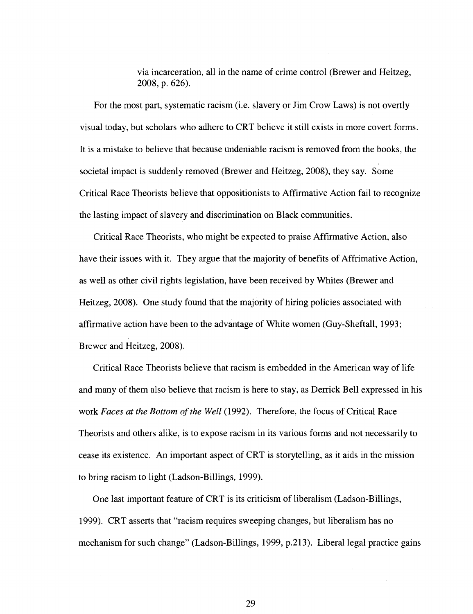via incarceration, all in the name of crime control (Brewer and Heitzeg, 2008, p. 626).

For the most part, systematic racism (i.e. slavery or Jim Crow Laws) is not overtly visual today, but scholars who adhere to CRT believe it still exists in more covert forms. It is a mistake to believe that because undeniable racism is removed from the books, the societal impact is suddenly removed (Brewer and Heitzeg, 2008), they say. Some Critical Race Theorists believe that oppositionists to Affirmative Action fail to recognize the lasting impact of slavery and discrimination on Black communities.

Critical Race Theorists, who might be expected to praise Affirmative Action, also have their issues with it. They argue that the majority of benefits of Affrimative Action, as well as other civil rights legislation, have been received by Whites (Brewer and Heitzeg, 2008). One study found that the majority of hiring policies associated with affirmative action have been to the advantage of White women (Guy-Sheftall, 1993; Brewer and Heitzeg, 2008).

Critical Race Theorists believe that racism is embedded in the American way of life and many of them also believe that racism is here to stay, as Derrick Bell expressed in his work *Faces at the Bottom of the Well* (1992). Therefore, the focus of Critical Race Theorists and others alike, is to expose racism in its various forms and not necessarily to cease its existence. An important aspect of CRT is storytelling, as it aids in the mission to bring racism to light (Ladson-Billings, 1999).

One last important feature of CRT is its criticism of liberalism (Ladson-Billings, 1999). CRT asserts that "racism requires sweeping changes, but liberalism has no mechanism for such change" (Ladson-Billings, 1999, p.213). Liberal legal practice gains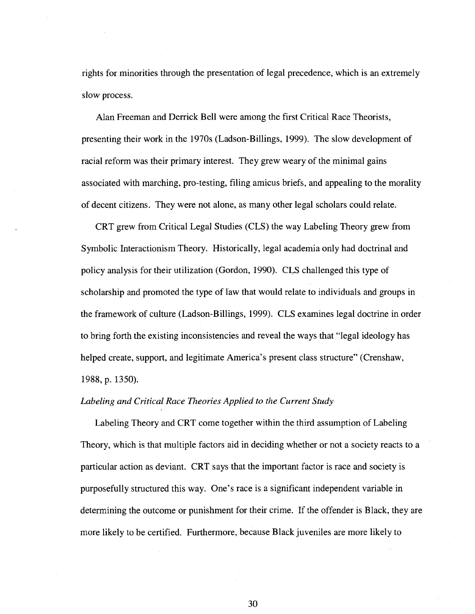rights for minorities through the presentation of legal precedence, which is an extremely slow process.

Alan Freeman and Derrick Bell were among the first Critical Race Theorists, presenting their work in the 1970s (Ladson-Billings, 1999). The slow development of racial reform was their primary interest. They grew weary of the minimal gains associated with marching, pro-testing, filing amicus briefs, and appealing to the morality of decent citizens. They were not alone, as many other legal scholars could relate.

CRT grew from Critical Legal Studies (CLS) the way Labeling Theory grew from Symbolic Interactionism Theory. Historically, legal academia only had doctrinal and policy analysis for their utilization (Gordon, 1990). CLS challenged this type of scholarship and promoted the type of law that would relate to individuals and groups in the framework of culture (Ladson-Billings, 1999). CLS examines legal doctrine in order to bring forth the existing inconsistencies and reveal the ways that "legal ideology has helped create, support, and legitimate America's present class structure" (Crenshaw, 1988, p. 1350).

#### *Labeling and Critical Race Theories Applied to the Current Study*

Labeling Theory and CRT come together within the third assumption of Labeling Theory, which is that multiple factors aid in deciding whether or not a society reacts to a particular action as deviant. CRT says that the important factor is race and society is purposefully structured this way. One's race is a significant independent variable in determining the outcome or punishment for their crime. If the offender is Black, they are more likely to be certified. Furthermore, because Black juveniles are more likely to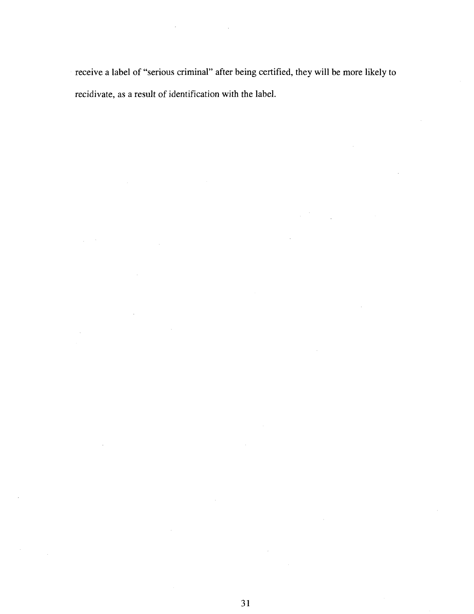receive a label of "serious criminal" after being certified, they will be more likely to recidivate, as a result of identification with the label.

 $\Delta \sim 10^4$ 

 $\mathcal{L}^{\text{max}}$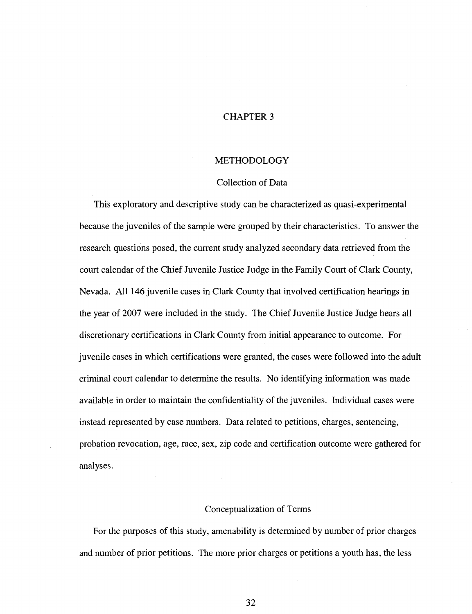## CHAPTER 3

#### METHODOLOGY

#### Collection of Data

This exploratory and descriptive study can be characterized as quasi-experimental because the juveniles of the sample were grouped by their characteristics. To answer the research questions posed, the current study analyzed secondary data retrieved from the court calendar of the Chief Juvenile Justice Judge in the Family Court of Clark County, Nevada. All 146 juvenile cases in Clark County that involved certification hearings in the year of 2007 were included in the study. The Chief Juvenile Justice Judge hears all discretionary certifications in Clark County from initial appearance to outcome. For juvenile cases in which certifications were granted, the cases were followed into the adult criminal court calendar to determine the results. No identifying information was made available in order to maintain the confidentiality of the juveniles. Individual cases were instead represented by case numbers. Data related to petitions, charges, sentencing, probation revocation, age, race, sex, zip code and certification outcome were gathered for analyses.

#### Conceptualization of Terms

For the purposes of this study, amenability is determined by number of prior charges and number of prior petitions. The more prior charges or petitions a youth has, the less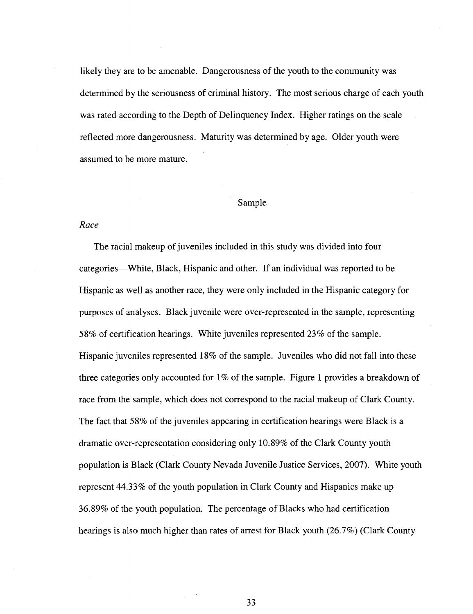likely they are to be amenable. Dangerousness of the youth to the community was determined by the seriousness of criminal history. The most serious charge of each youth was rated according to the Depth of Delinquency Index. Higher ratings on the scale reflected more dangerousness. Maturity was determined by age. Older youth were assumed to be more mature.

#### Sample

#### *Race*

The racial makeup of juveniles included in this study was divided into four categories—White, Black, Hispanic and other. If an individual was reported to be Hispanic as well as another race, they were only included in the Hispanic category for purposes of analyses. Black juvenile were over-represented in the sample, representing 58% of certification hearings. White juveniles represented 23% of the sample. Hispanic juveniles represented 18% of the sample. Juveniles who did not fall into these three categories only accounted for  $1\%$  of the sample. Figure 1 provides a breakdown of race from the sample, which does not correspond to the racial makeup of Clark County. The fact that 58% of the juveniles appearing in certification hearings were Black is a dramatic over-representation considering only 10.89% of the Clark County youth population is Black (Clark County Nevada Juvenile Justice Services, 2007). White youth represent 44.33% of the youth population in Clark County and Hispanics make up 36.89% of the youth population. The percentage of Blacks who had certification hearings is also much higher than rates of arrest for Black youth (26.7%) (Clark County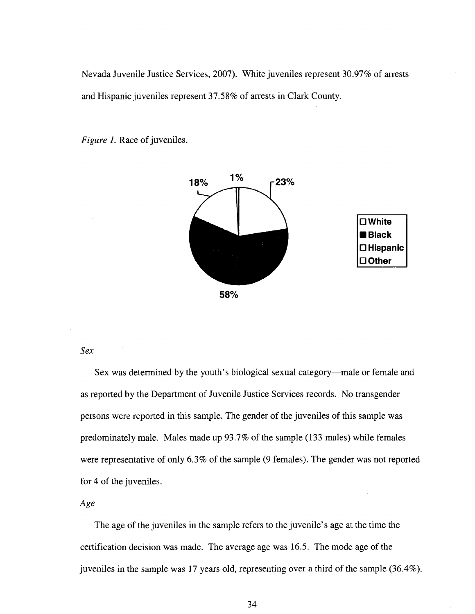Nevada Juvenile Justice Services, 2007). White juveniles represent 30.97% of arrests and Hispanic juveniles represent 37.58% of arrests in Clark County.



*Figure 1.* Race of juveniles.

# *Sex*

Sex was determined by the youth's biological sexual category—male or female and as reported by the Department of Juvenile Justice Services records. No transgender persons were reported in this sample. The gender of the juveniles of this sample was predominately male. Males made up 93.7% of the sample (133 males) while females were representative of only 6.3% of the sample (9 females). The gender was not reported for 4 of the juveniles.

## *Age*

The age of the juveniles in the sample refers to the juvenile's age at the time the certification decision was made. The average age was 16.5. The mode age of the juveniles in the sample was 17 years old, representing over a third of the sample (36.4%).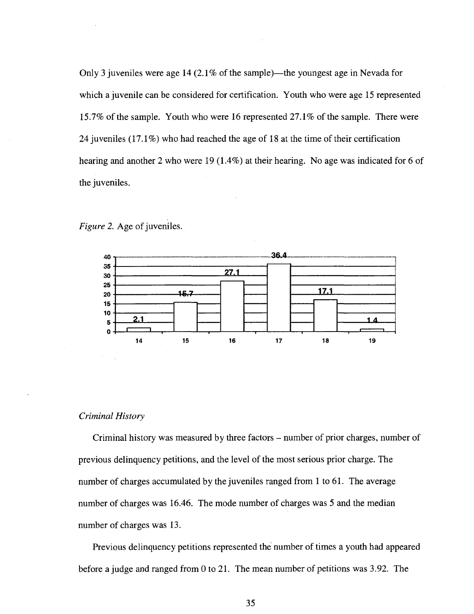Only 3 juveniles were age 14 (2.1% of the sample)—the youngest age in Nevada for which a juvenile can be considered for certification. Youth who were age 15 represented 15.7% of the sample. Youth who were 16 represented 27.1% of the sample. There were 24 juveniles (17.1%) who had reached the age of 18 at the time of their certification hearing and another 2 who were 19 (1.4%) at their hearing. No age was indicated for 6 of the juveniles.





#### *Criminal History*

Criminal history was measured by three factors – number of prior charges, number of previous delinquency petitions, and the level of the most serious prior charge. The number of charges accumulated by the juveniles ranged from 1 to 61. The average number of charges was 16.46. The mode number of charges was 5 and the median number of charges was 13.

Previous delinquency petitions represented the number of times a youth had appeared before a judge and ranged from 0 to 21. The mean number of petitions was 3.92. The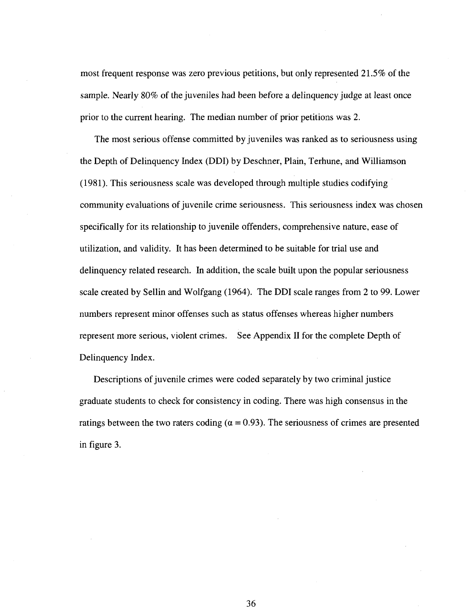most frequent response was zero previous petitions, but only represented 21.5% of the sample. Nearly 80% of the juveniles had been before a delinquency judge at least once prior to the current hearing. The median number of prior petitions was 2.

The most serious offense committed by juveniles was ranked as to seriousness using the Depth of Delinquency Index (DDI) by Deschner, Plain, Terhune, and Williamson (1981). This seriousness scale was developed through multiple studies codifying community evaluations of juvenile crime seriousness. This seriousness index was chosen specifically for its relationship to juvenile offenders, comprehensive nature, ease of utilization, and validity. It has been determined to be suitable for trial use and delinquency related research. In addition, the scale built upon the popular seriousness scale created by Sellin and Wolfgang (1964). The DDI scale ranges from 2 to 99. Lower numbers represent minor offenses such as status offenses whereas higher numbers represent more serious, violent crimes. See Appendix II for the complete Depth of Delinquency Index.

Descriptions of juvenile crimes were coded separately by two criminal justice graduate students to check for consistency in coding. There was high consensus in the ratings between the two raters coding ( $\alpha$  = 0.93). The seriousness of crimes are presented in figure 3.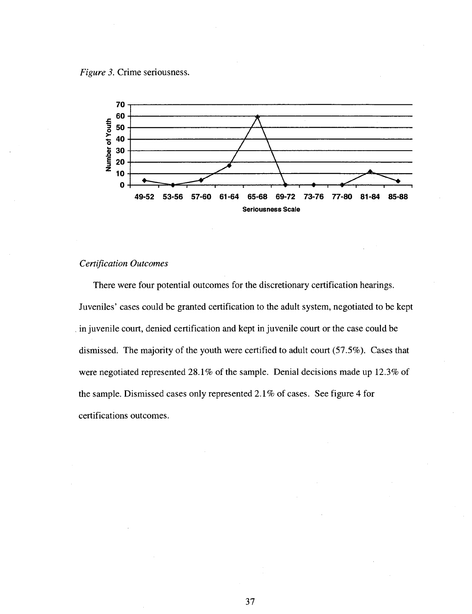



## *Certification Outcomes*

There were four potential outcomes for the discretionary certification hearings. Juveniles' cases could be granted certification to the adult system, negotiated to be kept in juvenile court, denied certification and kept in juvenile court or the case could be dismissed. The majority of the youth were certified to adult court (57.5%). Cases that were negotiated represented 28.1% of the sample. Denial decisions made up 12.3% of the sample. Dismissed cases only represented 2.1 % of cases. See figure 4 for certifications outcomes.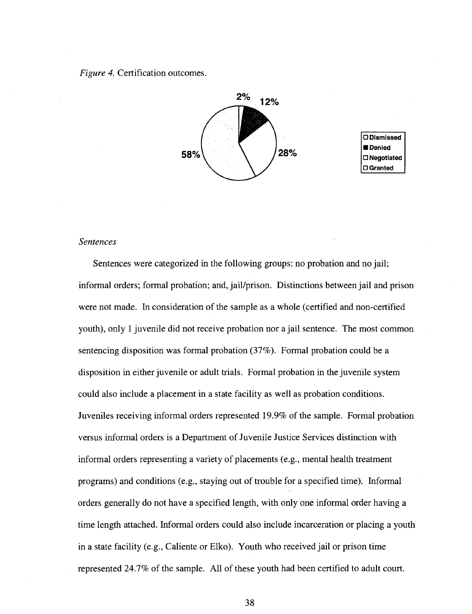*Figure 4.* Certification outcomes.



**O Dismissed • Denied D Negotiated O Granted** 

#### *Sentences*

Sentences were categorized in the following groups: no probation and no jail; informal orders; formal probation; and, jail/prison. Distinctions between jail and prison were not made. In consideration of the sample as a whole (certified and non-certified youth), only 1 juvenile did not receive probation nor a jail sentence. The most common sentencing disposition was formal probation (37%). Formal probation could be a disposition in either juvenile or adult trials. Formal probation in the juvenile system could also include a placement in a state facility as well as probation conditions. Juveniles receiving informal orders represented 19.9% of the sample. Formal probation versus informal orders is a Department of Juvenile Justice Services distinction with informal orders representing a variety of placements (e.g., mental health treatment programs) and conditions (e.g., staying out of trouble for a specified time). Informal orders generally do not have a specified length, with only one informal order having a time length attached. Informal orders could also include incarceration or placing a youth in a state facility (e.g., Caliente or Elko). Youth who received jail or prison time represented 24.7% of the sample. All of these youth had been certified to adult court.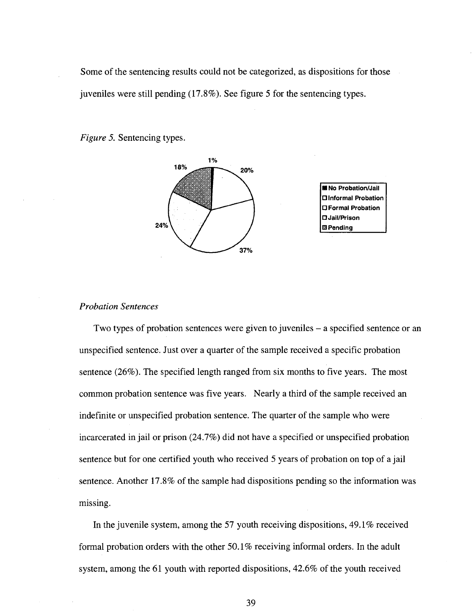Some of the sentencing results could not be categorized, as dispositions for those juveniles were still pending (17.8%). See figure 5 for the sentencing types.

*Figure 5.* Sentencing types.



#### *Probation Sentences*

Two types of probation sentences were given to juveniles – a specified sentence or an unspecified sentence. Just over a quarter of the sample received a specific probation sentence (26%). The specified length ranged from six months to five years. The most common probation sentence was five years. Nearly a third of the sample received an indefinite or unspecified probation sentence. The quarter of the sample who were incarcerated in jail or prison (24.7%) did not have a specified or unspecified probation sentence but for one certified youth who received 5 years of probation on top of a jail sentence. Another 17.8% of the sample had dispositions pending so the information was missing.

In the juvenile system, among the 57 youth receiving dispositions, 49.1% received formal probation orders with the other 50.1% receiving informal orders. In the adult system, among the 61 youth with reported dispositions, 42.6% of the youth received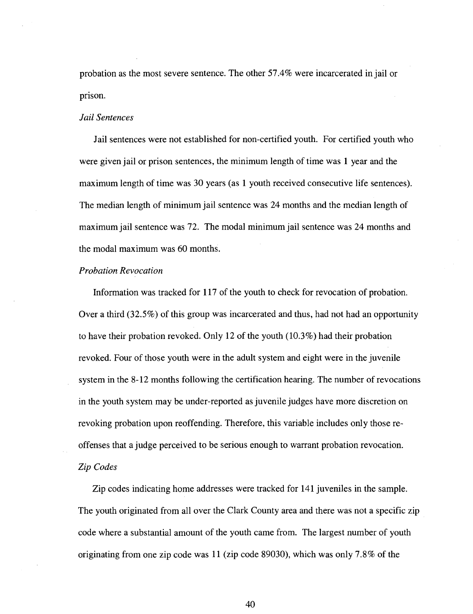probation as the most severe sentence. The other 57.4% were incarcerated in jail or prison.

#### *Jail Sentences*

Jail sentences were not established for non-certified youth. For certified youth who were given jail or prison sentences, the minimum length of time was 1 year and the maximum length of time was 30 years (as 1 youth received consecutive life sentences). The median length of minimum jail sentence was 24 months and the median length of maximum jail sentence was 72. The modal minimum jail sentence was 24 months and the modal maximum was 60 months.

#### *Probation Revocation*

Information was tracked for 117 of the youth to check for revocation of probation. Over a third (32.5%) of this group was incarcerated and thus, had not had an opportunity to have their probation revoked. Only 12 of the youth (10.3%) had their probation revoked. Four of those youth were in the adult system and eight were in the juvenile system in the 8-12 months following the certification hearing. The number of revocations in the youth system may be under-reported as juvenile judges have more discretion on revoking probation upon reoffending. Therefore, this variable includes only those reoffenses that a judge perceived to be serious enough to warrant probation revocation. *Zip Codes* 

Zip codes indicating home addresses were tracked for 141 juveniles in the sample. The youth originated from all over the Clark County area and there was not a specific zip code where a substantial amount of the youth came from. The largest number of youth originating from one zip code was 11 (zip code 89030), which was only 7.8% of the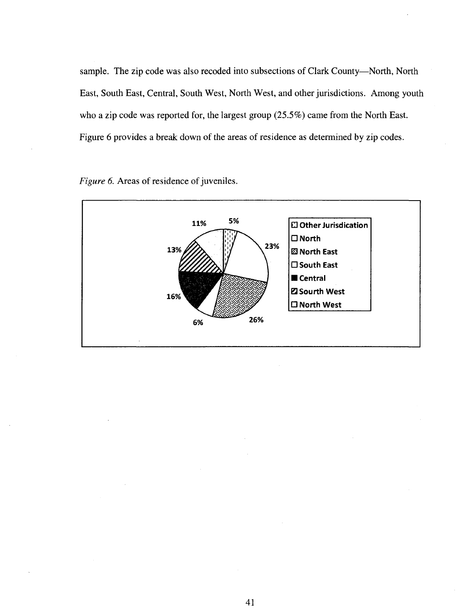sample. The zip code was also recoded into subsections of Clark County—North, North East, South East, Central, South West, North West, and other jurisdictions. Among youth who a zip code was reported for, the largest group (25.5%) came from the North East. Figure 6 provides a break down of the areas of residence as determined by zip codes.



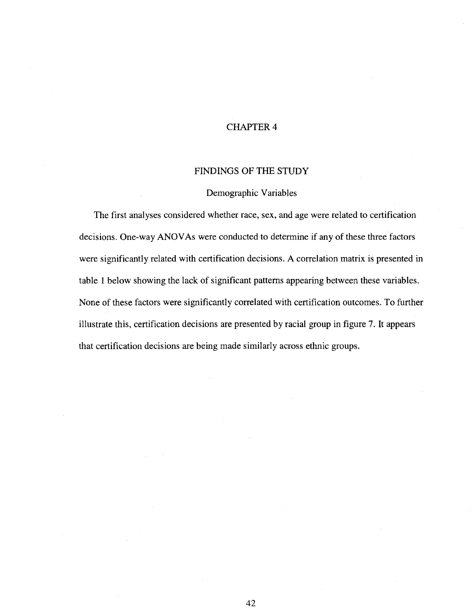## CHAPTER 4

#### FINDINGS OF THE STUDY

#### Demographic Variables

The first analyses considered whether race, sex, and age were related to certification decisions. One-way ANOVAs were conducted to determine if any of these three factors were significantly related with certification decisions. A correlation matrix is presented in table 1 below showing the lack of significant patterns appearing between these variables. None of these factors were significantly correlated with certification outcomes. To further illustrate this, certification decisions are presented by racial group in figure 7. It appears that certification decisions are being made similarly across ethnic groups.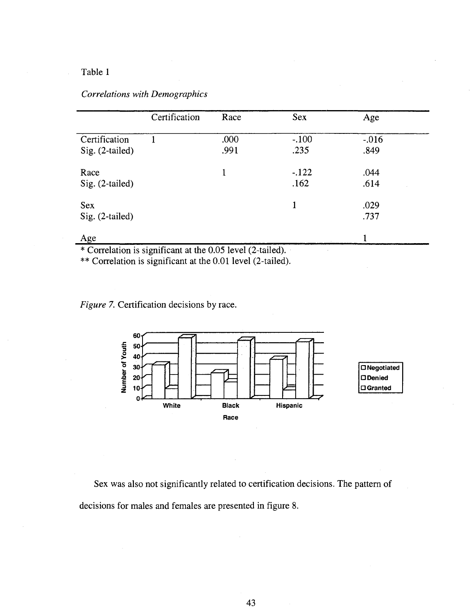## Table 1

|  |  | Correlations with Demographics |
|--|--|--------------------------------|
|--|--|--------------------------------|

|                                    | Certification | Race         | <b>Sex</b>      | Age              |  |
|------------------------------------|---------------|--------------|-----------------|------------------|--|
| Certification<br>$Sig. (2-tailed)$ |               | .000<br>.991 | $-.100$<br>.235 | $-0.016$<br>.849 |  |
| Race<br>$Sig. (2-tailed)$          |               |              | $-122$<br>.162  | .044<br>.614     |  |
| <b>Sex</b><br>$Sig. (2-tailed)$    |               |              | 1               | .029<br>.737     |  |
| Age                                |               |              |                 |                  |  |

\* Correlation is significant at the 0.05 level (2-tailed).

\*\* Correlation is significant at the 0.01 level (2-tailed).

*Figure 7.* Certification decisions by race.



Sex was also not significantly related to certification decisions. The pattern of decisions for males and females are presented in figure 8.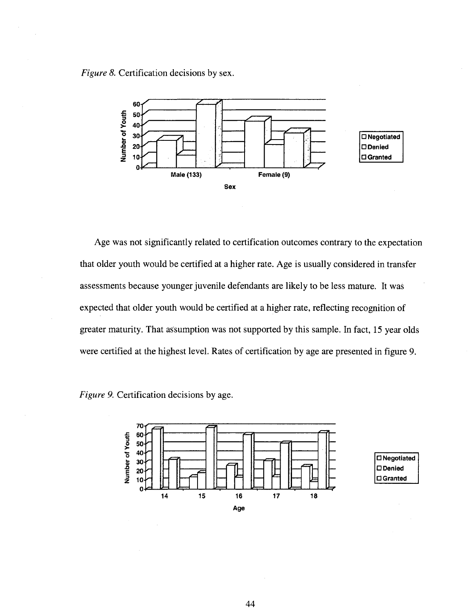*Figure 8.* Certification decisions by sex.



Age was not significantly related to certification outcomes contrary to the expectation that older youth would be certified at a higher rate. Age is usually considered in transfer assessments because younger juvenile defendants are likely to be less mature. It was expected that older youth would be certified at a higher rate, reflecting recognition of greater maturity. That assumption was not supported by this sample. In fact, 15 year olds were certified at the highest level. Rates of certification by age are presented in figure 9.

*Figure 9.* Certification decisions by age.

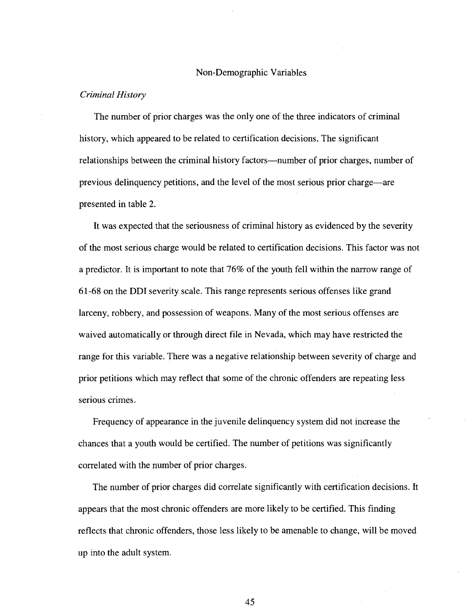#### Non-Demographic Variables

#### *Criminal History*

The number of prior charges was the only one of the three indicators of criminal history, which appeared to be related to certification decisions. The significant relationships between the criminal history factors—number of prior charges, number of previous delinquency petitions, and the level of the most serious prior charge—are presented in table 2.

It was expected that the seriousness of criminal history as evidenced by the severity of the most serious charge would be related to certification decisions. This factor was not a predictor. It is important to note that 76% of the youth fell within the narrow range of 61-68 on the DDI severity scale. This range represents serious offenses like grand larceny, robbery, and possession of weapons. Many of the most serious offenses are waived automatically or through direct file in Nevada, which may have restricted the range for this variable. There was a negative relationship between severity of charge and prior petitions which may reflect that some of the chronic offenders are repeating less serious crimes.

Frequency of appearance in the juvenile delinquency system did not increase the chances that a youth would be certified. The number of petitions was significantly correlated with the number of prior charges.

The number of prior charges did correlate significantly with certification decisions. It appears that the most chronic offenders are more likely to be certified. This finding reflects that chronic offenders, those less likely to be amenable to change, will be moved up into the adult system.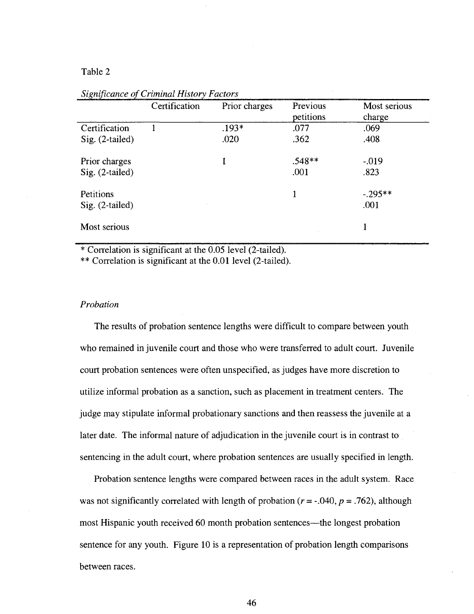## Table 2

|                   | Certification | Prior charges | Previous  | Most serious |
|-------------------|---------------|---------------|-----------|--------------|
|                   |               |               | petitions | charge       |
| Certification     |               | $.193*$       | .077      | .069         |
| $Sig. (2-tailed)$ |               | .020          | .362      | .408         |
| Prior charges     |               |               | $.548**$  | $-.019$      |
| $Sig. (2-tailed)$ |               |               | .001      | .823         |
| Petitions         |               |               |           | $-.295**$    |
| $Sig. (2-tailed)$ |               |               |           | .001         |
| Most serious      |               |               |           |              |

*Significance of Criminal History Factors* 

\* Correlation is significant at the 0.05 level (2-tailed).

\*\* Correlation is significant at the 0.01 level (2-tailed).

#### *Probation*

The results of probation sentence lengths were difficult to compare between youth who remained in juvenile court and those who were transferred to adult court. Juvenile court probation sentences were often unspecified, as judges have more discretion to utilize informal probation as a sanction, such as placement in treatment centers. The judge may stipulate informal probationary sanctions and then reassess the juvenile at a later date. The informal nature of adjudication in the juvenile court is in contrast to sentencing in the adult court, where probation sentences are usually specified in length.

Probation sentence lengths were compared between races in the adult system. Race was not significantly correlated with length of probation ( $r = -0.040$ ,  $p = 0.762$ ), although most Hispanic youth received 60 month probation sentences—the longest probation sentence for any youth. Figure 10 is a representation of probation length comparisons between races.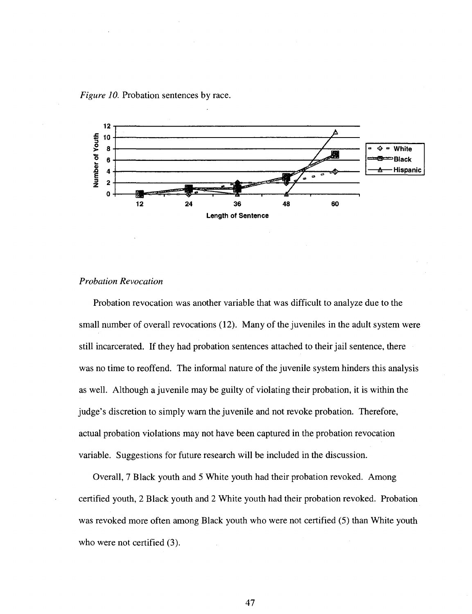*Figure 10.* Probation sentences by race.



#### *Probation Revocation*

Probation revocation was another variable that was difficult to analyze due to the small number of overall revocations (12). Many of the juveniles in the adult system were still incarcerated. If they had probation sentences attached to their jail sentence, there was no time to reoffend. The informal nature of the juvenile system hinders this analysis as well. Although a juvenile may be guilty of violating their probation, it is within the judge's discretion to simply warn the juvenile and not revoke probation. Therefore, actual probation violations may not have been captured in the probation revocation variable. Suggestions for future research will be included in the discussion.

Overall, 7 Black youth and 5 White youth had their probation revoked. Among certified youth, 2 Black youth and 2 White youth had their probation revoked. Probation was revoked more often among Black youth who were not certified (5) than White youth who were not certified  $(3)$ .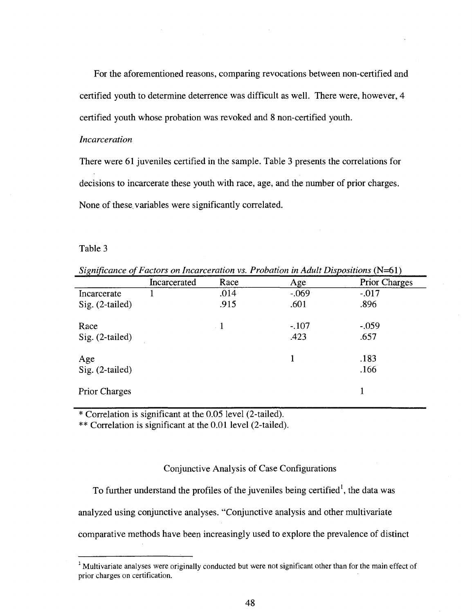For the aforementioned reasons, comparing revocations between non-certified and certified youth to determine deterrence was difficult as well. There were, however, 4 certified youth whose probation was revoked and 8 non-certified youth.

#### *Incarceration*

There were 61 juveniles certified in the sample. Table 3 presents the correlations for decisions to incarcerate these youth with race, age, and the number of prior charges. None of these, variables were significantly correlated.

#### Table 3

*Significance of Factors on Incarceration vs. Probation in Adult Dispositions* (N=61)

|                      | Incarcerated | Race      | Age      | <b>Prior Charges</b> |
|----------------------|--------------|-----------|----------|----------------------|
| Incarcerate          |              | .014      | $-0.069$ | $-.017$              |
| $Sig. (2-tailed)$    |              | .915      | .601     | .896                 |
| Race                 |              | $\cdot$ 1 | $-.107$  | $-.059$              |
| $Sig. (2-tailed)$    |              |           | .423     | .657                 |
| Age                  |              |           |          | .183                 |
| Sig. (2-tailed)      |              |           |          | .166                 |
| <b>Prior Charges</b> |              |           |          |                      |

\* Correlation is significant at the 0.05 level (2-tailed).

\*\* Correlation is significant at the 0.01 level (2-tailed).

#### Conjunctive Analysis of Case Configurations

To further understand the profiles of the juveniles being certified<sup>1</sup>, the data was

analyzed using conjunctive analyses. "Conjunctive analysis and other multivariate

comparative methods have been increasingly used to explore the prevalence of distinct

<sup>&</sup>lt;sup>1</sup> Multivariate analyses were originally conducted but were not significant other than for the main effect of prior charges on certification.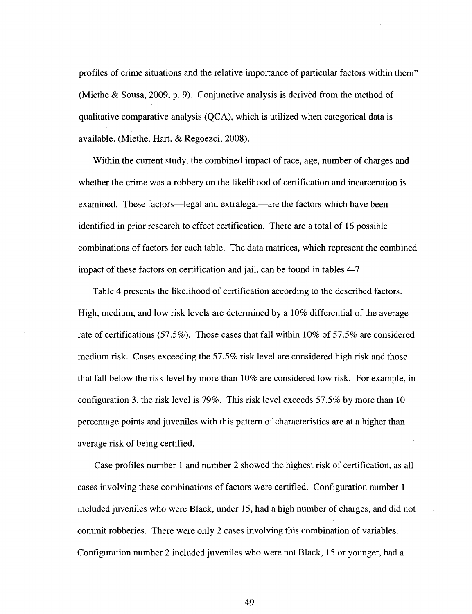profiles of crime situations and the relative importance of particular factors within them" (Miethe & Sousa, 2009, p. 9). Conjunctive analysis is derived from the method of qualitative comparative analysis (QCA), which is utilized when categorical data is available. (Miethe, Hart, & Regoezci, 2008).

Within the current study, the combined impact of race, age, number of charges and whether the crime was a robbery on the likelihood of certification and incarceration is examined. These factors—legal and extralegal—are the factors which have been identified in prior research to effect certification. There are a total of 16 possible combinations of factors for each table. The data matrices, which represent the combined impact of these factors on certification and jail, can be found in tables 4-7.

Table 4 presents the likelihood of certification according to the described factors. High, medium, and low risk levels are determined by a 10% differential of the average rate of certifications (57.5%). Those cases that fall within 10% of 57.5% are considered medium risk. Cases exceeding the 57.5% risk level are considered high risk and those that fall below the risk level by more than 10% are considered low risk. For example, in configuration 3, the risk level is 79%. This risk level exceeds 57.5% by more than 10 percentage points and juveniles with this pattern of characteristics are at a higher than average risk of being certified.

Case profiles number 1 and number 2 showed the highest risk of certification, as all cases involving these combinations of factors were certified. Configuration number 1 included juveniles who were Black, under 15, had a high number of charges, and did not commit robberies. There were only 2 cases involving this combination of variables. Configuration number 2 included juveniles who were not Black, 15 or younger, had a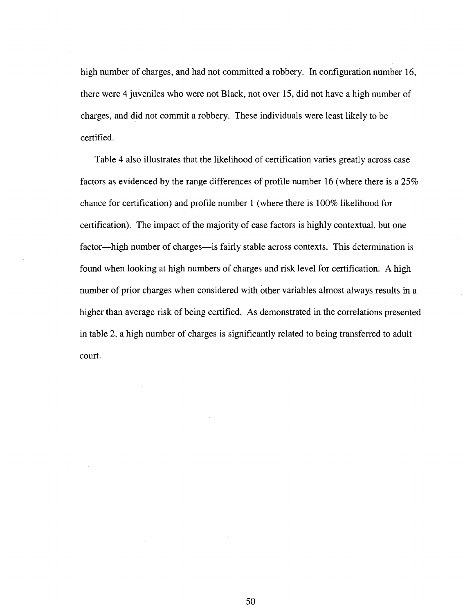high number of charges, and had not committed a robbery. In configuration number 16, there were 4 juveniles who were not Black, not over 15, did not have a high number of charges, and did not commit a robbery. These individuals were least likely to be certified.

Table 4 also illustrates that the likelihood of certification varies greatly across case factors as evidenced by the range differences of profile number 16 (where there is a 25% chance for certification) and profile number 1 (where there is 100% likelihood for certification). The impact of the majority of case factors is highly contextual, but one factor—high number of charges—is fairly stable across contexts. This determination is found when looking at high numbers of charges and risk level for certification. A high number of prior charges when considered with other variables almost always results in a higher than average risk of being certified. As demonstrated in the correlations presented in table 2, a high number of charges is significantly related to being transferred to adult court.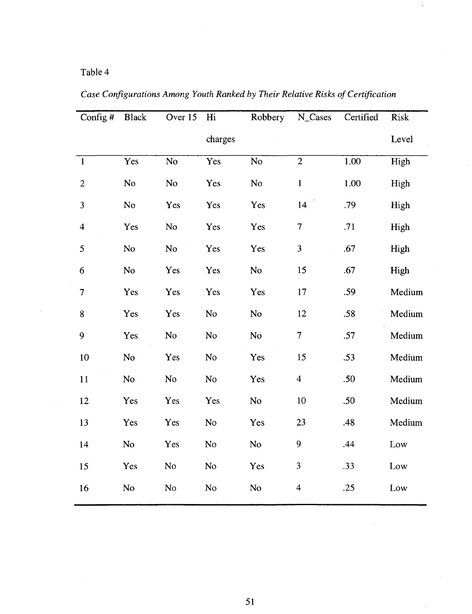# Table 4

| Config#                 | <b>Black</b>   | Over 15        | Hi             | Robbery        | N_Cases                 | Certified | Risk   |
|-------------------------|----------------|----------------|----------------|----------------|-------------------------|-----------|--------|
|                         |                |                | charges        |                |                         |           | Level  |
| $\mathbf{1}$            | Yes            | No             | Yes            | N <sub>o</sub> | $\overline{2}$          | 1.00      | High   |
| $\overline{2}$          | No             | No             | Yes            | No             | $\mathbf{1}$            | 1.00      | High   |
| 3                       | No             | Yes            | Yes            | Yes            | 14                      | .79       | High   |
| $\overline{\mathbf{4}}$ | Yes            | N <sub>o</sub> | Yes            | Yes            | $\boldsymbol{7}$        | .71       | High   |
| 5                       | N <sub>o</sub> | No             | Yes            | Yes            | $\overline{\mathbf{3}}$ | .67       | High   |
| 6                       | No             | Yes            | Yes            | No             | 15                      | .67       | High   |
| $\boldsymbol{7}$        | Yes            | Yes            | Yes            | Yes            | 17                      | .59       | Medium |
| $\bf 8$                 | Yes            | Yes            | No             | No             | 12                      | .58       | Medium |
| 9                       | Yes            | No             | No             | No             | $\overline{7}$          | .57       | Medium |
| 10                      | No             | Yes            | N <sub>o</sub> | Yes            | 15                      | .53       | Medium |
| 11                      | No             | No             | No             | Yes            | $\overline{4}$          | .50       | Medium |
| 12                      | Yes            | Yes            | Yes            | No             | 10                      | .50       | Medium |
| 13                      | Yes            | Yes            | No             | Yes            | 23                      | .48       | Medium |
| 14                      | No             | Yes            | No             | No             | 9                       | .44       | Low    |
| 15                      | Yes            | No             | N <sub>o</sub> | Yes            | 3                       | .33       | Low    |
| 16                      | No             | No             | $\rm No$       | N <sub>o</sub> | $\overline{\mathbf{4}}$ | .25       | Low    |

*Case Configurations Among Youth Ranked by Their Relative Risks of Certification* 

Ŷ,

 $\sim$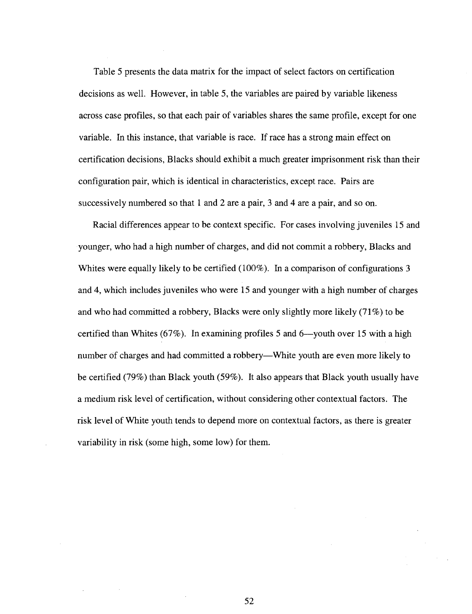Table 5 presents the data matrix for the impact of select factors on certification decisions as well. However, in table 5, the variables are paired by variable likeness across case profiles, so that each pair of variables shares the same profile, except for one variable. In this instance, that variable is race. If race has a strong main effect on certification decisions, Blacks should exhibit a much greater imprisonment risk than their configuration pair, which is identical in characteristics, except race. Pairs are successively numbered so that 1 and 2 are a pair, 3 and 4 are a pair, and so on.

Racial differences appear to be context specific. For cases involving juveniles 15 and younger, who had a high number of charges, and did not commit a robbery, Blacks and Whites were equally likely to be certified (100%). In a comparison of configurations 3 and 4, which includes juveniles who were 15 and younger with a high number of charges and who had committed a robbery, Blacks were only slightly more likely (71%) to be certified than Whites (67%). In examining profiles 5 and 6—youth over 15 with a high number of charges and had committed a robbery—White youth are even more likely to be certified (79%) than Black youth (59%). It also appears that Black youth usually have a medium risk level of certification, without considering other contextual factors. The risk level of White youth tends to depend more on contextual factors, as there is greater variability in risk (some high, some low) for them.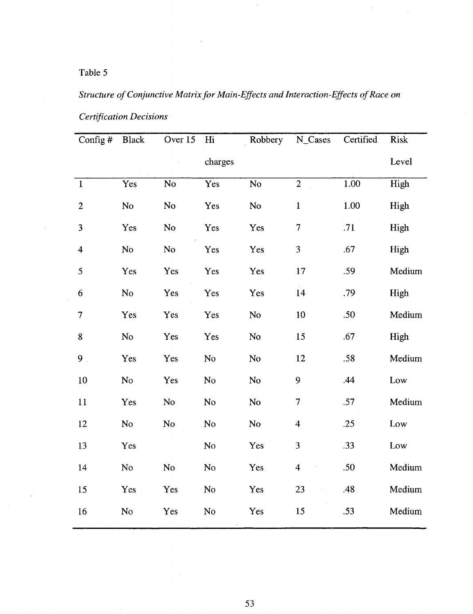# Table 5

# *Structure of Conjunctive Matrix for Main-Effects and Interaction-Effects of Race on*

| Config $#$       | <b>Black</b>   | Over 15         | Hi             | Robbery         | N_Cases        | Certified | Risk   |
|------------------|----------------|-----------------|----------------|-----------------|----------------|-----------|--------|
|                  |                |                 | charges        |                 |                |           | Level  |
| $\mathbf{1}$     | Yes            | $\overline{No}$ | Yes            | $\overline{No}$ | $\overline{2}$ | 1.00      | High   |
| $\boldsymbol{2}$ | No             | No              | Yes            | No              | $\mathbf{1}$   | 1.00      | High   |
| 3                | Yes            | N <sub>o</sub>  | Yes            | Yes             | $\overline{7}$ | .71       | High   |
| $\overline{4}$   | N <sub>o</sub> | No              | Yes            | Yes             | 3              | .67       | High   |
| 5                | Yes            | Yes             | Yes            | Yes             | 17             | .59       | Medium |
| 6                | No             | Yes             | Yes            | Yes             | 14             | .79       | High   |
| $\overline{7}$   | Yes            | Yes             | Yes            | No              | 10             | .50       | Medium |
| 8                | N <sub>o</sub> | Yes             | Yes            | No              | 15             | .67       | High   |
| 9 <sub>1</sub>   | Yes            | Yes             | N <sub>o</sub> | No              | 12             | .58       | Medium |
| 10               | No             | Yes             | N <sub>o</sub> | N <sub>o</sub>  | 9              | .44       | Low    |
| 11               | Yes            | No              | No             | N <sub>o</sub>  | 7              | .57       | Medium |
| 12               | N <sub>o</sub> | N <sub>o</sub>  | N <sub>o</sub> | N <sub>o</sub>  | $\overline{4}$ | .25       | Low    |
| 13               | Yes            |                 | No             | Yes             | 3              | .33       | Low    |
| 14               | No             | No              | No             | Yes.            | $\overline{4}$ | .50       | Medium |
| 15               | Yes            | Yes             | N <sub>o</sub> | Yes             | 23             | .48       | Medium |
| 16               | No             | Yes             | No             | Yes             | 15             | .53       | Medium |

*Certification Decisions*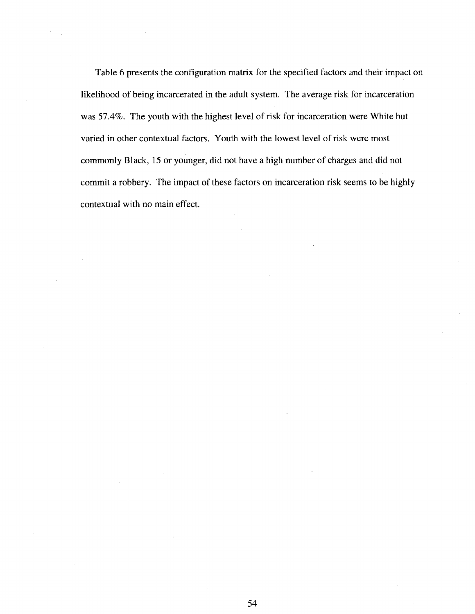Table 6 presents the configuration matrix for the specified factors and their impact on likelihood of being incarcerated in the adult system. The average risk for incarceration was 57.4%. The youth with the highest level of risk for incarceration were White but varied in other contextual factors. Youth with the lowest level of risk were most commonly Black, 15 or younger, did not have a high number of charges and did not commit a robbery. The impact of these factors on incarceration risk seems to be highly contextual with no main effect.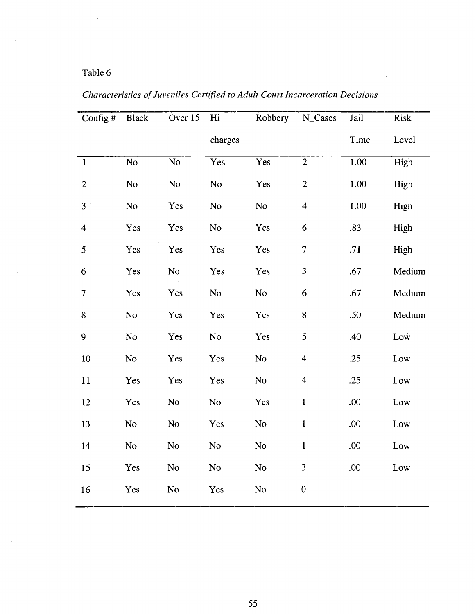# Table 6

| Config#                 | Black          | Over 15  | Hi             | Robbery        | N_Cases                  | Jail | Risk   |
|-------------------------|----------------|----------|----------------|----------------|--------------------------|------|--------|
|                         |                |          | charges        |                |                          | Time | Level  |
| $\mathbf{1}$            | N <sub>o</sub> | No.      | Yes            | Yes            | $\overline{2}$           | 1.00 | High   |
| $\overline{c}$          | No             | $\rm No$ | No             | Yes            | $\overline{c}$           | 1.00 | High   |
| $\mathfrak{Z}$          | No             | Yes      | <b>No</b>      | No.            | $\overline{\mathbf{4}}$  | 1.00 | High   |
| $\overline{\mathbf{4}}$ | Yes            | Yes      | No             | Yes            | 6                        | .83  | High   |
| 5                       | Yes            | Yes      | Yes            | Yes            | $\overline{\mathcal{I}}$ | .71  | High   |
| $6\phantom{.}6$         | Yes            | No       | Yes            | Yes            | 3                        | .67  | Medium |
| $\overline{7}$          | Yes            | Yes      | No             | No             | 6                        | .67  | Medium |
| 8                       | No             | Yes      | Yes            | Yes            | 8                        | .50  | Medium |
| 9                       | No             | Yes      | No             | Yes            | 5                        | .40  | Low    |
| 10                      | N <sub>o</sub> | Yes      | Yes            | N <sub>o</sub> | $\overline{\mathbf{4}}$  | .25  | Low    |
| 11                      | Yes            | Yes      | Yes            | No             | $\overline{\mathbf{4}}$  | .25  | Low    |
| 12                      | Yes            | No       | N <sub>o</sub> | Yes            | $\mathbf{1}$             | .00  | Low    |
| 13                      | N <sub>o</sub> | No.      | Yes            | No             | $\mathbf{1}$             | .00  | Low    |
| 14                      | No             | No       | No             | No             | $\mathbf{1}$             | .00  | Low    |
| 15                      | Yes            | No       | N <sub>o</sub> | No             | $\overline{3}$           | .00  | Low    |
| 16                      | Yes            | No       | Yes            | No             | $\boldsymbol{0}$         |      |        |

*Characteristics of Juveniles Certified to Adult Court Incarceration Decisions*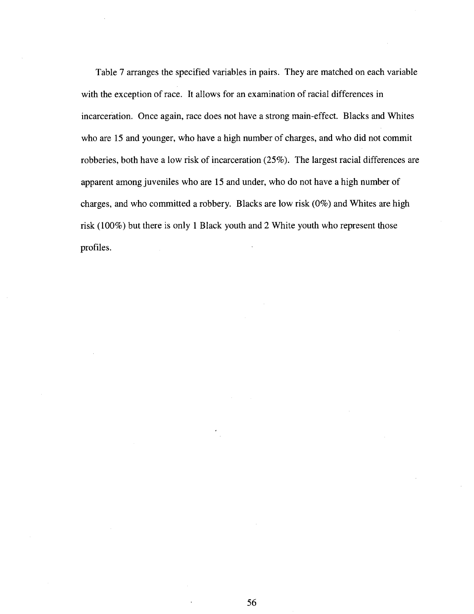Table 7 arranges the specified variables in pairs. They are matched on each variable with the exception of race. It allows for an examination of racial differences in incarceration. Once again, race does not have a strong main-effect. Blacks and Whites who are 15 and younger, who have a high number of charges, and who did not commit robberies, both have a low risk of incarceration (25%). The largest racial differences are apparent among juveniles who are 15 and under, who do not have a high number of charges, and who committed a robbery. Blacks are low risk (0%) and Whites are high risk (100%) but there is only 1 Black youth and 2 White youth who represent those profiles.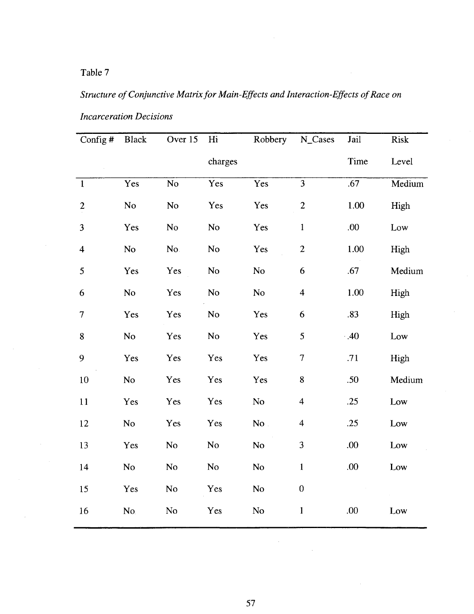# Table 7

# *Structure of Conjunctive Matrix for Main-Effects and Interaction-Effects of Race on*

| Config $#$              | <b>Black</b>   | Over 15                | Hi              | Robbery        | N_Cases                 | Jail | <b>Risk</b> |
|-------------------------|----------------|------------------------|-----------------|----------------|-------------------------|------|-------------|
|                         |                |                        | charges         |                |                         | Time | Level       |
| $\mathbf{1}$            | Yes            | $\overline{\text{No}}$ | Yes <sup></sup> | Yes            | $\overline{3}$          | .67  | Medium      |
| $\boldsymbol{2}$        | No             | <b>No</b>              | Yes             | Yes            | $\overline{c}$          | 1.00 | High        |
| 3                       | Yes            | N <sub>o</sub>         | No              | Yes            | $\mathbf 1$             | .00  | Low         |
| $\overline{\mathbf{4}}$ | No             | No.                    | No              | Yes            | $\boldsymbol{2}$        | 1.00 | High        |
| 5                       | Yes            | Yes                    | No              | N <sub>o</sub> | 6                       | .67  | Medium      |
| 6                       | No             | Yes                    | <b>No</b>       | No             | $\overline{\mathbf{4}}$ | 1.00 | High        |
| $\overline{7}$          | Yes            | Yes                    | N <sub>o</sub>  | Yes            | 6                       | .83  | High        |
| 8                       | N <sub>o</sub> | Yes                    | No              | Yes            | 5                       | .40  | Low         |
| 9                       | Yes            | Yes                    | Yes             | Yes            | 7                       | .71  | High        |
| 10                      | No             | Yes                    | Yes             | Yes            | 8                       | .50  | Medium      |
| 11                      | Yes            | Yes                    | Yes             | No             | $\overline{4}$          | .25  | Low         |
| 12                      | No             | Yes                    | Yes             | $No$ .         | $\overline{\mathbf{4}}$ | .25  | Low         |
| 13                      | Yes            | No                     | <b>No</b>       | <b>No</b>      | $\mathfrak{Z}$          | .00  | Low         |
| 14                      | N <sub>o</sub> | <b>No</b>              | N <sub>o</sub>  | No             | $\mathbf{1}$            | .00. | Low         |
| 15                      | Yes            | No                     | Yes             | No             | $\boldsymbol{0}$        |      |             |
| 16                      | No.            | No                     | Yes             | No             | $\mathbf{1}$            | .00  | Low         |
|                         |                |                        |                 |                |                         |      |             |

*Incarceration Decisions* 

**57** 

 $\bar{z}$ 

 $\sim$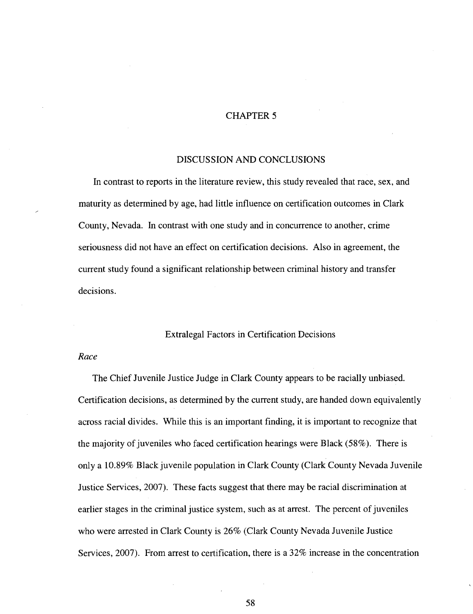## CHAPTER 5

#### DISCUSSION AND CONCLUSIONS

In contrast to reports in the literature review, this study revealed that race, sex, and maturity as determined by age, had little influence on certification outcomes in Clark County, Nevada. In contrast with one study and in concurrence to another, crime seriousness did not have an effect on certification decisions. Also in agreement, the current study found a significant relationship between criminal history and transfer decisions.

#### Extralegal Factors in Certification Decisions

#### *Race*

The Chief Juvenile Justice Judge in Clark County appears to be racially unbiased. Certification decisions, as determined by the current study, are handed down equivalently across racial divides. While this is an important finding, it is important to recognize that the majority of juveniles who faced certification hearings were Black (58%). There is only a 10.89% Black juvenile population in Clark County (Clark County Nevada Juvenile Justice Services, 2007). These facts suggest that there may be racial discrimination at earlier stages in the criminal justice system, such as at arrest. The percent of juveniles who were arrested in Clark County is 26% (Clark County Nevada Juvenile Justice Services, 2007). From arrest to certification, there is a 32% increase in the concentration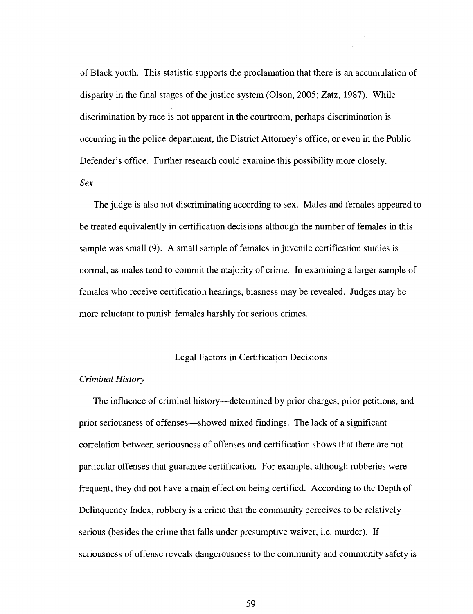of Black youth. This statistic supports the proclamation that there is an accumulation of disparity in the final stages of the justice system (Olson, 2005; Zatz, 1987). While discrimination by race is not apparent in the courtroom, perhaps discrimination is occurring in the police department, the District Attorney's office, or even in the Public Defender's office. Further research could examine this possibility more closely. *Sex* 

The judge is also not discriminating according to sex. Males and females appeared to be treated equivalently in certification decisions although the number of females in this sample was small (9). A small sample of females in juvenile certification studies is normal, as males tend to commit the majority of crime. In examining a larger sample of females who receive certification hearings, biasness may be revealed. Judges may be more reluctant to punish females harshly for serious crimes.

#### Legal Factors in Certification Decisions

#### *Criminal History*

The influence of criminal history—determined by prior charges, prior petitions, and prior seriousness of offenses—showed mixed findings. The lack of a significant correlation between seriousness of offenses and certification shows that there are not particular offenses that guarantee certification. For example, although robberies were frequent, they did not have a main effect on being certified. According to the Depth of Delinquency Index, robbery is a crime that the community perceives to be relatively serious (besides the crime that falls under presumptive waiver, i.e. murder). If seriousness of offense reveals dangerousness to the community and community safety is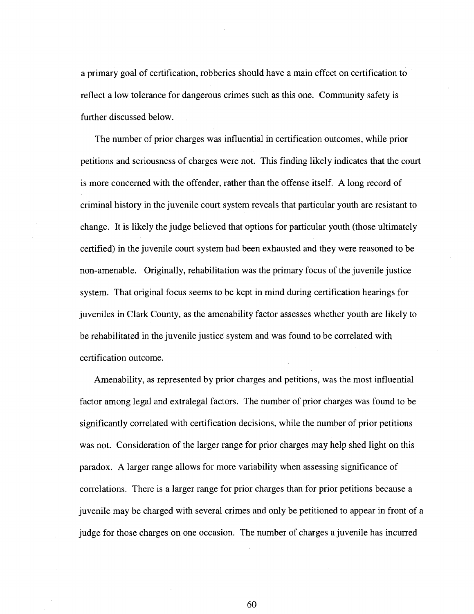a primary goal of certification, robberies should have a main effect on certification to reflect a low tolerance for dangerous crimes such as this one. Community safety is further discussed below.

The number of prior charges was influential in certification outcomes, while prior petitions and seriousness of charges were not. This finding likely indicates that the court is more concerned with the offender, rather than the offense itself. A long record of criminal history in the juvenile court system reveals that particular youth are resistant to change. It is likely the judge believed that options for particular youth (those ultimately certified) in the juvenile court system had been exhausted and they were reasoned to be non-amenable. Originally, rehabilitation was the primary focus of the juvenile justice system. That original focus seems to be kept in mind during certification hearings for juveniles in Clark County, as the amenability factor assesses whether youth are likely to be rehabilitated in the juvenile justice system and was found to be correlated with certification outcome.

Amenability, as represented by prior charges and petitions, was the most influential factor among legal and extralegal factors. The number of prior charges was found to be significantly correlated with certification decisions, while the number of prior petitions was not. Consideration of the larger range for prior charges may help shed light on this paradox. A larger range allows for more variability when assessing significance of correlations. There is a larger range for prior charges than for prior petitions because a juvenile may be charged with several crimes and only be petitioned to appear in front of a judge for those charges on one occasion. The number of charges a juvenile has incurred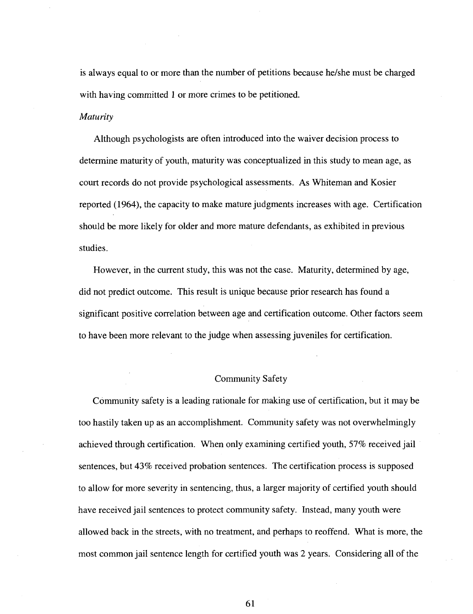is always equal to or more than the number of petitions because he/she must be charged with having committed 1 or more crimes to be petitioned.

#### *Maturity*

Although psychologists are often introduced into the waiver decision process to determine maturity of youth, maturity was conceptualized in this study to mean age, as court records do not provide psychological assessments. As Whiteman and Kosier reported (1964), the capacity to make mature judgments increases with age. Certification should be more likely for older and more mature defendants, as exhibited in previous studies.

However, in the current study, this was not the case. Maturity, determined by age, did not predict outcome. This result is unique because prior research has found a significant positive correlation between age and certification outcome. Other factors seem to have been more relevant to the judge when assessing juveniles for certification.

#### Community Safety

Community safety is a leading rationale for making use of certification, but it may be too hastily taken up as an accomplishment. Community safety was not overwhelmingly achieved through certification. When only examining certified youth, 57% received jail sentences, but 43% received probation sentences. The certification process is supposed to allow for more severity in sentencing, thus, a larger majority of certified youth should have received jail sentences to protect community safety. Instead, many youth were allowed back in the streets, with no treatment, and perhaps to reoffend. What is more, the most common jail sentence length for certified youth was 2 years. Considering all of the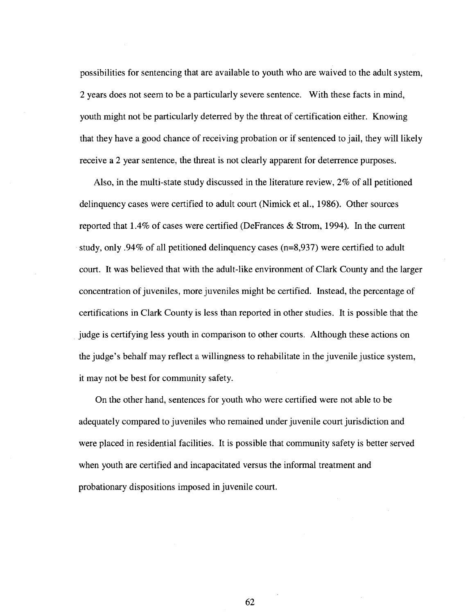possibilities for sentencing that are available to youth who are waived to the adult system, 2 years does not seem to be a particularly severe sentence. With these facts in mind, youth might not be particularly deterred by the threat of certification either. Knowing that they have a good chance of receiving probation or if sentenced to jail, they will likely receive a 2 year sentence, the threat is not clearly apparent for deterrence purposes.

Also, in the multi-state study discussed in the literature review, 2% of all petitioned delinquency cases were certified to adult court (Nimick et al., 1986). Other sources reported that 1.4% of cases were certified (DeFrances & Strom, 1994). In the current study, only .94% of all petitioned delinquency cases (n=8,937) were certified to adult court. It was believed that with the adult-like environment of Clark County and the larger concentration of juveniles, more juveniles might be certified. Instead, the percentage of certifications in Clark County is less than reported in other studies. It is possible that the judge is certifying less youth in comparison to other courts. Although these actions on the judge's behalf may reflect a willingness to rehabilitate in the juvenile justice system, it may not be best for community safety.

On the other hand, sentences for youth who were certified were not able to be adequately compared to juveniles who remained under juvenile court jurisdiction and were placed in residential facilities. It is possible that community safety is better served when youth are certified and incapacitated versus the informal treatment and probationary dispositions imposed in juvenile court.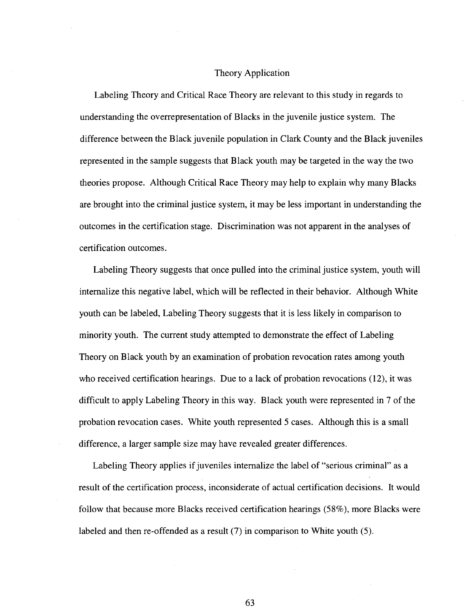## Theory Application

Labeling Theory and Critical Race Theory are relevant to this study in regards to understanding the overrepresentation of Blacks in the juvenile justice system. The difference between the Black juvenile population in Clark County and the Black juveniles represented in the sample suggests that Black youth may be targeted in the way the two theories propose. Although Critical Race Theory may help to explain why many Blacks are brought into the criminal justice system, it may be less important in understanding the outcomes in the certification stage. Discrimination was not apparent in the analyses of certification outcomes.

Labeling Theory suggests that once pulled into the criminal justice system, youth will internalize this negative label, which will be reflected in their behavior. Although White youth can be labeled, Labeling Theory suggests that it is less likely in comparison to minority youth. The current study attempted to demonstrate the effect of Labeling Theory on Black youth by an examination of probation revocation rates among youth who received certification hearings. Due to a lack of probation revocations (12), it was difficult to apply Labeling Theory in this way. Black youth were represented in 7 of the probation revocation cases. White youth represented 5 cases. Although this is a small difference, a larger sample size may have revealed greater differences.

Labeling Theory applies if juveniles internalize the label of "serious criminal" as a result of the certification process, inconsiderate of actual certification decisions. It would follow that because more Blacks received certification hearings (58%), more Blacks were labeled and then re-offended as a result (7) in comparison to White youth (5).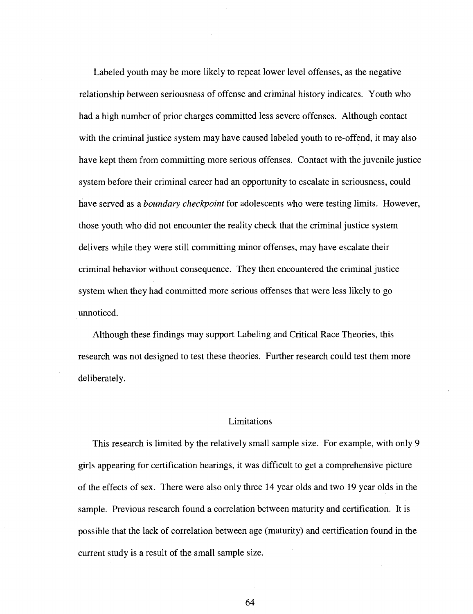Labeled youth may be more likely to repeat lower level offenses, as the negative relationship between seriousness of offense and criminal history indicates. Youth who had a high number of prior charges committed less severe offenses. Although contact with the criminal justice system may have caused labeled youth to re-offend, it may also have kept them from committing more serious offenses. Contact with the juvenile justice system before their criminal career had an opportunity to escalate in seriousness, could have served as a *boundary checkpoint* for adolescents who were testing limits. However, those youth who did not encounter the reality check that the criminal justice system delivers while they were still committing minor offenses, may have escalate their criminal behavior without consequence. They then encountered the criminal justice system when they had committed more serious offenses that were less likely to go unnoticed.

Although these findings may support Labeling and Critical Race Theories, this research was not designed to test these theories. Further research could test them more deliberately.

### Limitations

This research is limited by the relatively small sample size. For example, with only 9 girls appearing for certification hearings, it was difficult to get a comprehensive picture of the effects of sex. There were also only three 14 year olds and two 19 year olds in the sample. Previous research found a correlation between maturity and certification. It is possible that the lack of correlation between age (maturity) and certification found in the current study is a result of the small sample size.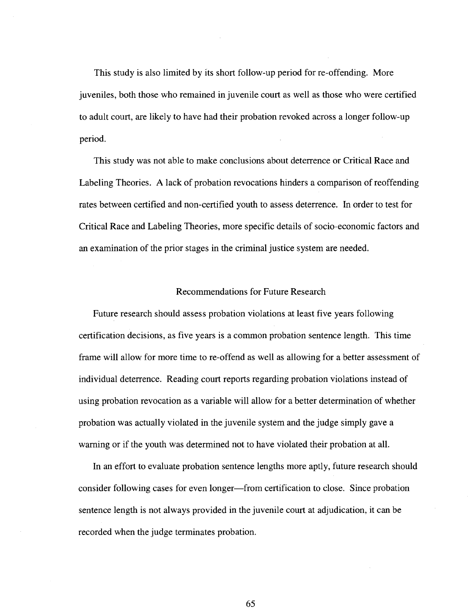This study is also limited by its short follow-up period for re-offending. More juveniles, both those who remained in juvenile court as well as those who were certified to adult court, are likely to have had their probation revoked across a longer follow-up period.

This study was not able to make conclusions about deterrence or Critical Race and Labeling Theories. A lack of probation revocations hinders a comparison of reoffending rates between certified and non-certified youth to assess deterrence. In order to test for Critical Race and Labeling Theories, more specific details of socio-economic factors and an examination of the prior stages in the criminal justice system are needed.

#### Recommendations for Future Research

Future research should assess probation violations at least five years following certification decisions, as five years is a common probation sentence length. This time frame will allow for more time to re-offend as well as allowing for a better assessment of individual deterrence. Reading court reports regarding probation violations instead of using probation revocation as a variable will allow for a better determination of whether probation was actually violated in the juvenile system and the judge simply gave a warning or if the youth was determined not to have violated their probation at all.

In an effort to evaluate probation sentence lengths more aptly, future research should consider following cases for even longer—from certification to close. Since probation sentence length is not always provided in the juvenile court at adjudication, it can be recorded when the judge terminates probation.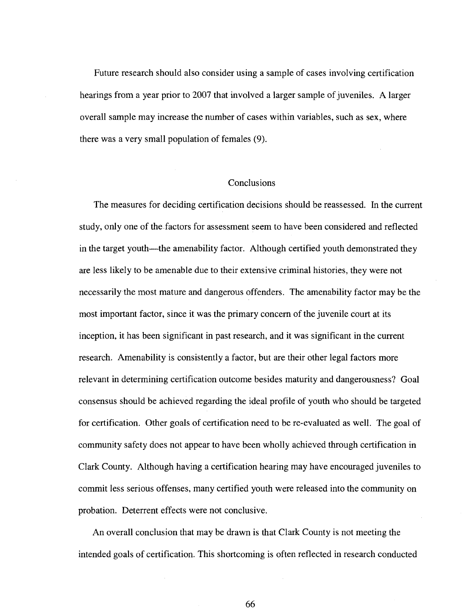Future research should also consider using a sample of cases involving certification hearings from a year prior to 2007 that involved a larger sample of juveniles. A larger overall sample may increase the number of cases within variables, such as sex, where there was a very small population of females (9).

## Conclusions

The measures for deciding certification decisions should be reassessed. In the current study, only one of the factors for assessment seem to have been considered and reflected in the target youth—the amenability factor. Although certified youth demonstrated they are less likely to be amenable due to their extensive criminal histories, they were not necessarily the most mature and dangerous offenders. The amenability factor may be the most important factor, since it was the primary concern of the juvenile court at its inception, it has been significant in past research, and it was significant in the current research. Amenability is consistently a factor, but are their other legal factors more relevant in determining certification outcome besides maturity and dangerousness? Goal consensus should be achieved regarding the ideal profile of youth who should be targeted for certification. Other goals of certification need to be re-evaluated as well. The goal of community safety does not appear to have been wholly achieved through certification in Clark County. Although having a certification hearing may have encouraged juveniles to commit less serious offenses, many certified youth were released into the community on probation. Deterrent effects were not conclusive.

An overall conclusion that may be drawn is that Clark County is not meeting the intended goals of certification. This shortcoming is often reflected in research conducted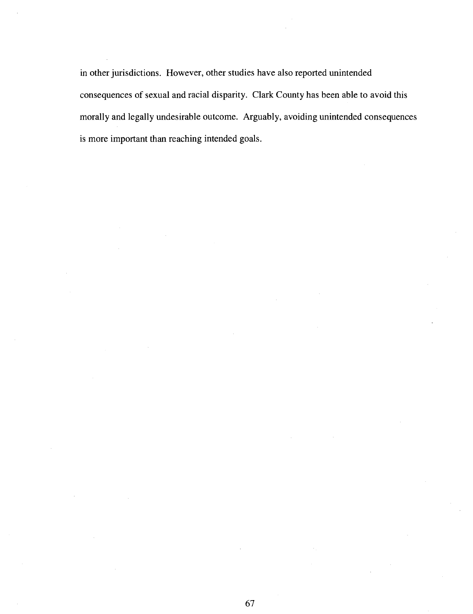in other jurisdictions. However, other studies have also reported unintended consequences of sexual and racial disparity. Clark County has been able to avoid this morally and legally undesirable outcome. Arguably, avoiding unintended consequences is more important than reaching intended goals.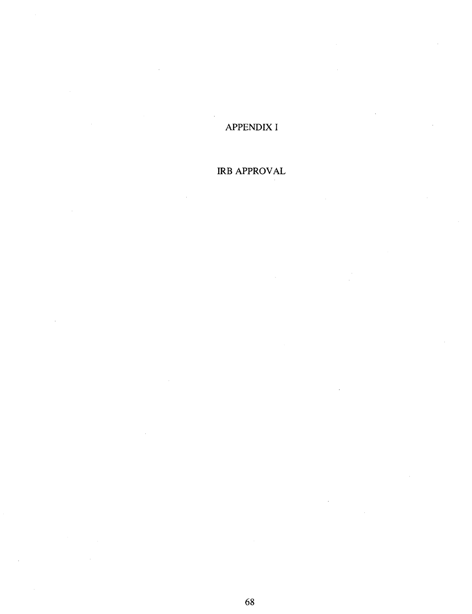# APPENDIX I

# IRB APPROVAL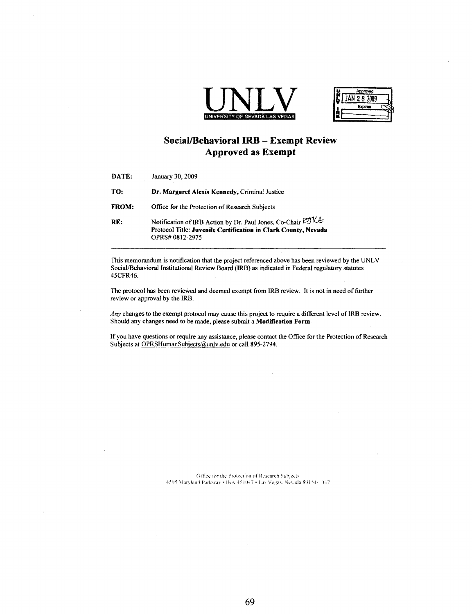



# Social/Behavioral IRB - Exempt Review Approved as Exempt

| DATE:        | January 30, 2009                                                                                                                                 |
|--------------|--------------------------------------------------------------------------------------------------------------------------------------------------|
| TO:          | Dr. Margaret Alexis Kennedy, Criminal Justice                                                                                                    |
| <b>FROM:</b> | Office for the Protection of Research Subjects                                                                                                   |
| RE:          | Notification of IRB Action by Dr. Paul Jones, Co-Chair DJICE<br>Protocol Title: Juvenile Certification in Clark County, Nevada<br>OPRS#0812-2975 |

This memorandum is notification that the project referenced above has been reviewed by the UNLV Social/Behavioral Institutional Review Board (IRB) as indicated in Federal regulatory statutes 45CFR46.

The protocol has been reviewed and deemed exempt from IRB review. It is not in need of further review or approval by the IRB.

*Any* changes to the exempt protocol may cause this project to require a different level of IRB review. Should any changes need to be made, please submit a **Modification Form.** 

If you have questions or require any assistance, please contact the Office for the Protection of Research Subjects at OPRSHumanSubjects@unlv.edu or call 895-2794.

> Office lor the Protection ol' Research Subjects 4505 Vlaryland Parkway • Box 451047 • Las Vegas, Nevada 89154-1047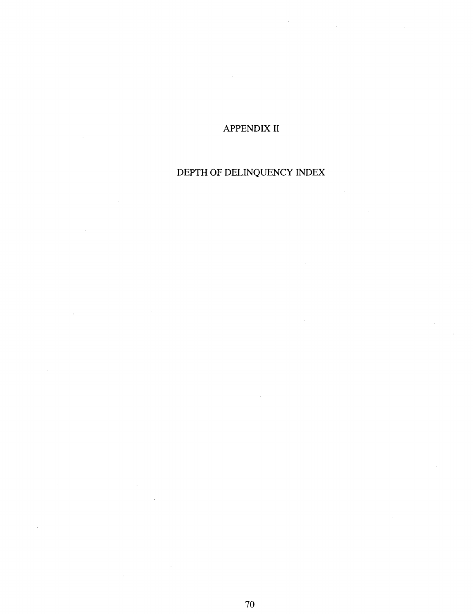# APPENDIX II

# DEPTH OF DELINQUENCY INDEX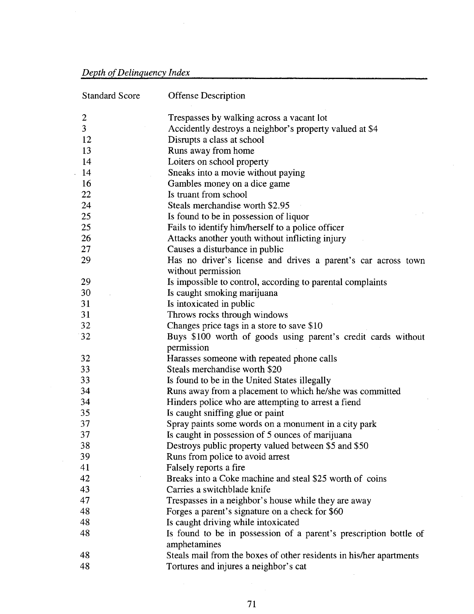# *Depth of Delinquency Index*

 $\bar{\beta}$ 

 $\bar{z}$ 

| <b>Standard Score</b> | <b>Offense Description</b>                                          |
|-----------------------|---------------------------------------------------------------------|
| $\overline{2}$        | Trespasses by walking across a vacant lot                           |
| $\overline{3}$        | Accidently destroys a neighbor's property valued at \$4             |
| 12                    | Disrupts a class at school                                          |
| 13                    | Runs away from home                                                 |
| 14                    | Loiters on school property                                          |
| 14                    | Sneaks into a movie without paying                                  |
| 16                    | Gambles money on a dice game                                        |
| 22                    | Is truant from school                                               |
| 24                    | Steals merchandise worth \$2.95                                     |
| 25                    | Is found to be in possession of liquor                              |
| 25                    | Fails to identify him/herself to a police officer                   |
| 26                    | Attacks another youth without inflicting injury                     |
| 27                    | Causes a disturbance in public                                      |
| 29                    | Has no driver's license and drives a parent's car across town       |
|                       | without permission                                                  |
| 29                    | Is impossible to control, according to parental complaints          |
| 30                    | Is caught smoking marijuana                                         |
| 31                    | Is intoxicated in public                                            |
| 31                    | Throws rocks through windows                                        |
| 32                    | Changes price tags in a store to save \$10                          |
| 32                    | Buys \$100 worth of goods using parent's credit cards without       |
|                       | permission                                                          |
| 32                    | Harasses someone with repeated phone calls                          |
| 33                    | Steals merchandise worth \$20                                       |
| 33                    | Is found to be in the United States illegally                       |
| 34                    | Runs away from a placement to which he/she was committed            |
| 34                    | Hinders police who are attempting to arrest a fiend                 |
| 35                    | Is caught sniffing glue or paint                                    |
| 37                    | Spray paints some words on a monument in a city park                |
| 37                    | Is caught in possession of 5 ounces of marijuana                    |
| 38                    | Destroys public property valued between \$5 and \$50                |
| 39                    | Runs from police to avoid arrest                                    |
| 41                    | Falsely reports a fire                                              |
| 42                    | Breaks into a Coke machine and steal \$25 worth of coins            |
| 43                    | Carries a switchblade knife                                         |
| 47                    | Trespasses in a neighbor's house while they are away                |
| 48                    | Forges a parent's signature on a check for \$60                     |
| 48                    | Is caught driving while intoxicated                                 |
| 48                    | Is found to be in possession of a parent's prescription bottle of   |
|                       | amphetamines                                                        |
| 48                    | Steals mail from the boxes of other residents in his/her apartments |
| 48                    | Tortures and injures a neighbor's cat                               |
|                       |                                                                     |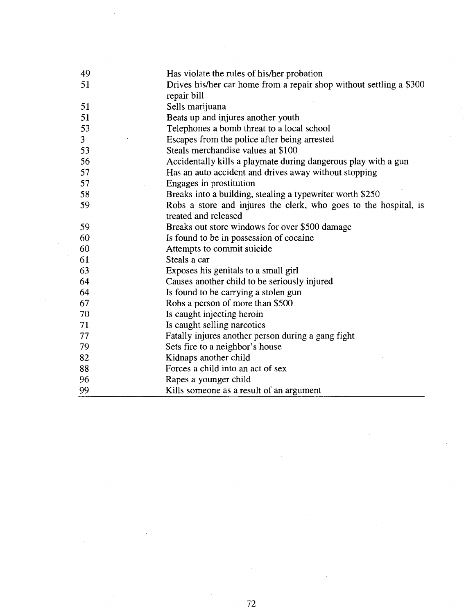| 49 | Has violate the rules of his/her probation                                               |
|----|------------------------------------------------------------------------------------------|
| 51 | Drives his/her car home from a repair shop without settling a \$300<br>repair bill       |
| 51 | Sells marijuana                                                                          |
| 51 | Beats up and injures another youth                                                       |
| 53 | Telephones a bomb threat to a local school                                               |
| 3  | Escapes from the police after being arrested                                             |
| 53 | Steals merchandise values at \$100                                                       |
| 56 | Accidentally kills a playmate during dangerous play with a gun                           |
| 57 | Has an auto accident and drives away without stopping                                    |
| 57 | Engages in prostitution                                                                  |
| 58 | Breaks into a building, stealing a typewriter worth \$250                                |
| 59 | Robs a store and injures the clerk, who goes to the hospital, is<br>treated and released |
| 59 | Breaks out store windows for over \$500 damage                                           |
| 60 | Is found to be in possession of cocaine                                                  |
| 60 | Attempts to commit suicide                                                               |
| 61 | Steals a car                                                                             |
| 63 | Exposes his genitals to a small girl                                                     |
| 64 | Causes another child to be seriously injured                                             |
| 64 | Is found to be carrying a stolen gun                                                     |
| 67 | Robs a person of more than \$500                                                         |
| 70 | Is caught injecting heroin                                                               |
| 71 | Is caught selling narcotics                                                              |
| 77 | Fatally injures another person during a gang fight                                       |
| 79 | Sets fire to a neighbor's house                                                          |
| 82 | Kidnaps another child                                                                    |
| 88 | Forces a child into an act of sex                                                        |
| 96 | Rapes a younger child                                                                    |
| 99 | Kills someone as a result of an argument                                                 |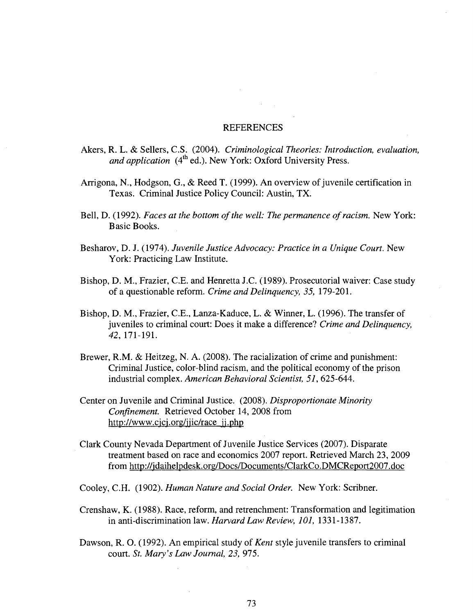### **REFERENCES**

- Akers, R. L. & Sellers, C.S. (2004). *Criminological Theories: Introduction, evaluation,*  and application (4<sup>th</sup> ed.). New York: Oxford University Press.
- Arrigona, N., Hodgson, G., & Reed T. (1999). An overview of juvenile certification in Texas. Criminal Justice Policy Council: Austin, TX.
- Bell, D. (1992). *Faces at the bottom of the well: The permanence of racism.* New York: Basic Books.
- Besharov, D. J. (1974). *Juvenile Justice Advocacy: Practice in a Unique Court.* New York: Practicing Law Institute.
- Bishop, D. M., Frazier, C.E. and Henretta J.C. (1989). Prosecutorial waiver: Case study of a questionable reform. *Crime and Delinquency, 35,* 179-201.
- Bishop, D. M, Frazier, C.E., Lanza-Kaduce, L. & Winner, L. (1996). The transfer of juveniles to criminal court: Does it make a difference? *Crime and Delinquency, 42,* 171-191.
- Brewer, R.M. & Heitzeg, N. A. (2008). The racialization of crime and punishment: Criminal Justice, color-blind racism, and the political economy of the prison industrial complex. *American Behavioral Scientist, 51,* 625-644.
- Center on Juvenile and Criminal Justice. (2008). *Disproportionate Minority Confinement.* Retrieved October 14, 2008 from [http://www.cjcj.org/jiic/race i](http://www.cjcj.org/jiic/race)i.php
- Clark County Nevada Department of Juvenile Justice Services (2007). Disparate treatment based on race and economics 2007 report. Retrieved March 23, 2009 from http://jdaihelpdesk.org/Docs/Documents/ClarkCo.DMCReport2007.doc

Cooley, C.H. (1902). *Human Nature and Social Order.* New York: Scribner.

- Crenshaw, K. (1988). Race, reform, and retrenchment: Transformation and legitimation in anti-discrimination law. *Harvard Law Review, 101,* 1331-1387.
- Dawson, R. O. (1992). An empirical study *of Kent* style juvenile transfers to criminal court. *St. Mary's Law Journal, 23,* 975.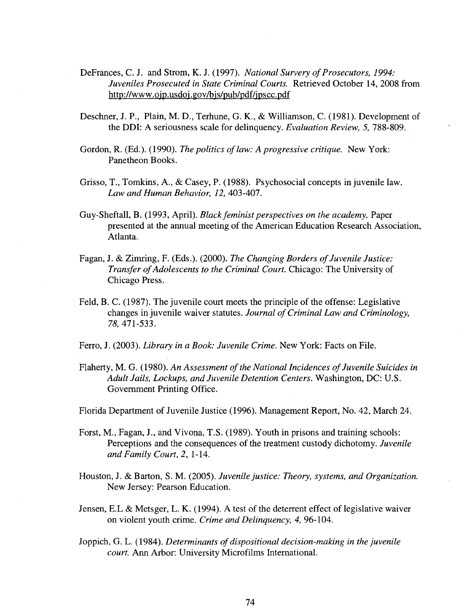- DeFrances, C. J. and Strom, K. J. (1997). *National Survery of Prosecutors, 1994: Juveniles Prosecuted in State Criminal Courts.* Retrieved October 14, 2008 from <http://www.oip.usdoi.gov/bjs/pub/pdf/jpscc.pdf>
- Deschner, J. P., Plain, M. D., Terhune, G. K., & Williamson, C. (1981). Development of the DDI: A seriousness scale for delinquency. *Evaluation Review, 5, 788-809*.
- Gordon, R. (Ed.). (1990). *The politics of law: A progressive critique.* New York: Panetheon Books.
- Grisso, T., Tomkins, A., & Casey, P. (1988). Psychosocial concepts in juvenile law. *Law and Human Behavior, 12,* 403-407.
- Guy-Sheftall, B. (1993, April). *Black feminist perspectives on the academy.* Paper presented at the annual meeting of the American Education Research Association, Atlanta.
- Fagan, J. & Zimring, F. (Eds.). (2000). *The Changing Borders of Juvenile Justice: Transfer of Adolescents to the Criminal Court.* Chicago: The University of Chicago Press.
- Feld, B. C. (1987). The juvenile court meets the principle of the offense: Legislative changes in juvenile waiver statutes. *Journal of Criminal Law and Criminology, 78,* 471-533.

Ferro, J. (2003). *Library in a Book: Juvenile Crime.* New York: Facts on File.

Flaherty, M. G. (1980). *An Assessment of the National Incidences of Juvenile Suicides in Adult Jails, Lockups, and Juvenile Detention Centers.* Washington, DC: U.S. Government Printing Office.

Florida Department of Juvenile Justice (1996). Management Report, No. 42, March 24.

- Forst, M., Fagan, J., and Vivona, T.S. (1989). Youth in prisons and training schools: Perceptions and the consequences of the treatment custody dichotomy. *Juvenile and Family Court, 2,* 1-14.
- Houston, J. & Barton, S. M. (2005). *Juvenile justice: Theory, systems, and Organization.*  New Jersey: Pearson Education.
- Jensen, E.L & Metsger, L. K. (1994). A test of the deterrent effect of legislative waiver on violent youth crime. *Crime and Delinquency, 4,* 96-104.
- Joppich, G. L. (1984). *Determinants of dispositional decision-making in the juvenile court.* Ann Arbor: University Microfilms International.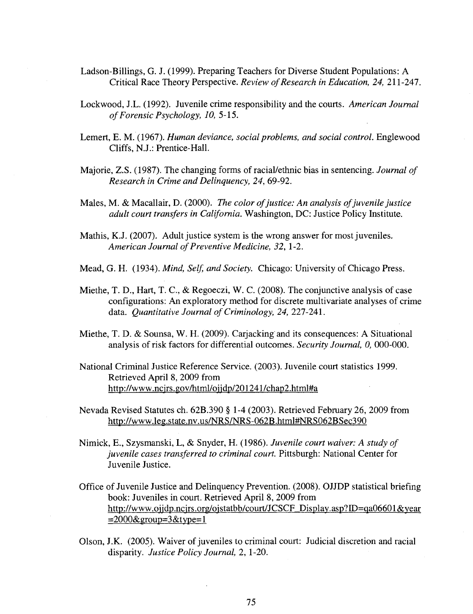- Ladson-Billings, G. J. (1999). Preparing Teachers for Diverse Student Populations: A Critical Race Theory Perspective. *Review of Research in Education, 24,* 211-247.
- Lockwood, J.L. (1992). Juvenile crime responsibility and the courts. *American Journal of Forensic Psychology, 10,* 5-15.
- Lemert, E. M. (1967). *Human deviance, social problems, and social control.* Englewood Cliffs, N.J.: Prentice-Hall.
- Majorie, Z.S. (1987). The changing forms of racial/ethnic bias in sentencing. *Journal of Research in Crime and Delinquency, 24,* 69-92.
- Males, M. & Macallair, D. (2000). *The color of justice: An analysis of juvenile justice adult court transfers in California.* Washington, DC: Justice Policy Institute.
- Mathis, K.J. (2007). Adult justice system is the wrong answer for most juveniles. *American Journal of Preventive Medicine, 32,* 1-2.
- Mead, G. H. (1934). *Mind, Self, and Society.* Chicago: University of Chicago Press.
- Miethe, T. D., Hart, T. C, & Regoeczi, W. C. (2008). The conjunctive analysis of case configurations: An exploratory method for discrete multivariate analyses of crime data. *Quantitative Journal of Criminology, 24,* 227-241.
- Miethe, T. D. & Sounsa, W. H. (2009). Carjacking and its consequences: A Situational analysis of risk factors for differential outcomes. *Security Journal, 0,* 000-000.
- National Criminal Justice Reference Service. (2003). Juvenile court statistics 1999. Retrieved April 8, 2009 from http://www.ncjrs.gov/html/ojjdp/201241/chap2.html#a
- Nevada Revised Statutes ch. 62B.390 § 1-4 (2003). Retrieved February 26, 2009 from [http://www.leg.state.nv.us/NRS/NRS-062B.html#NRS062BSec390](http://www.leg.state.nv.us/NRS/NRS-062B.html%23NRS062BSec390)
- Nimick, E., Szysmanski, L, & Snyder, H. (1986). *Juvenile court waiver: A study of juvenile cases transferred to criminal court.* Pittsburgh: National Center for Juvenile Justice.
- Office of Juvenile Justice and Delinquency Prevention. (2008). OJJDP statistical briefing book: Juveniles in court. Retrieved April 8, 2009 from http://www.ojjdp.ncjrs.org/ojstatbb/court/JCSCF\_Display.asp?ID=qa06601&year  $=2000$ &group=3&type=1
- Olson, J.K. (2005). Waiver of juveniles to criminal court: Judicial discretion and racial disparity. *Justice Policy Journal, 2,* 1-20.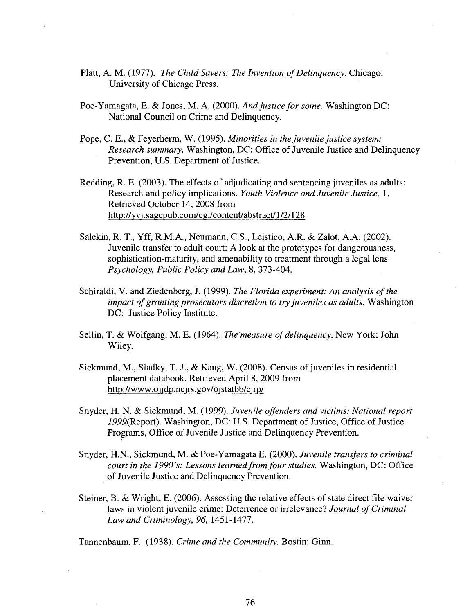- Piatt, A. M. (1977). *The Child Savers: The Invention of Delinquency.* Chicago: University of Chicago Press.
- Poe-Yamagata, E. & Jones, M. A. (2000). *And justice for some.* Washington DC: National Council on Crime and Delinquency.
- Pope, C. E., & Feyerherm, W. (1995). *Minorities in the juvenile justice system: Research summary.* Washington, DC: Office of Juvenile Justice and Delinquency Prevention, U.S. Department of Justice.
- Redding, R. E. (2003). The effects of adjudicating and sentencing juveniles as adults: Research and policy implications. *Youth Violence and Juvenile Justice,* 1, Retrieved October 14, 2008 from <http://yvj.sagepub.eom/cgi/content/abstract/l/2/128>
- Salekin, R. T., Yff, R.M.A., Neumann, C.S., Leistico, A.R. & Zalot, A.A. (2002). Juvenile transfer to adult court: A look at the prototypes for dangerousness, sophistication-maturity, and amenability to treatment through a legal lens. *Psychology, Public Policy and Law,* 8, 373-404.
- Schiraldi, V. and Ziedenberg, J. (1999). *The Florida experiment: An analysis of the impact of granting prosecutors discretion to try juveniles as adults.* Washington DC: Justice Policy Institute.
- Sellin, T. & Wolfgang, M. E. (1964). *The measure of delinquency.* New York: John Wiley.
- Sickmund, M., Sladky, T. J., & Kang, W. (2008). Census of juveniles in residential placement databook. Retrieved April 8, 2009 from <http://www.oiidp.ncjrs.gov/ojstatbb/cjrp/>
- Snyder, H. N. & Sickmund, M. (1999). *Juvenile offenders and victims: National report*  i999(Report). Washington, DC: U.S. Department of Justice, Office of Justice Programs, Office of Juvenile Justice and Delinquency Prevention.
- Snyder, H.N., Sickmund, M. & Poe-Yamagata E. (2000). *Juvenile transfers to criminal court in the 1990's: Lessons learned from four studies.* Washington, DC: Office of Juvenile Justice and Delinquency Prevention.
- Steiner, B. & Wright, E. (2006). Assessing the relative effects of state direct file waiver laws in violent juvenile crime: Deterrence or irrelevance? *Journal of Criminal Law and Criminology, 96,* 1451-1477.

Tannenbaum, F. (1938). *Crime and the Community.* Bostin: Ginn.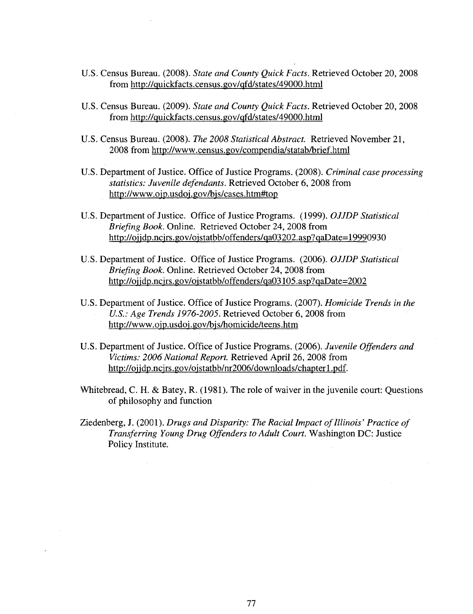- U.S. Census Bureau. (2008). *State and County Quick Facts.* Retrieved October 20, 2008 from <http://quickfacts.census.gov/qfd/states/49000.html>
- U.S. Census Bureau. (2009). *State and County Quick Facts.* Retrieved October 20, 2008 from <http://quickfacts.census.gov/qfd/states/49000.html>
- U.S. Census Bureau. (2008). *The 2008 Statistical Abstract.* Retrieved November 21, 2008 from <http://www.census.gov/compendia/statab/brief.html>
- U.S. Department of Justice. Office of Justice Programs. (2008). *Criminal case processing statistics: Juvenile defendants.* Retrieved October 6, 2008 from [http://www.ojp.usdoi.gOv/bjs/cases.htm#top](http://www.ojp.usdoi.gOv/bjs/cases.htm%23top)
- U.S. Department of Justice. Office of Justice Programs. (1999). *OJJDP Statistical Briefing Book.* Online. Retrieved October 24, 2008 from http://oijdp.ncirs.gov/oistatbb/offenders/qa03202.asp?qaDate=19990930
- U.S. Department of Justice. Office of Justice Programs. (2006). *OJJDP Statistical Briefing Book.* Online. Retrieved October 24, 2008 from [http://ojjdp.ncjrs.gov/ojstatbb/offenders/qa0310](http://ojjdp.ncjrs.gov/ojstatbb/offenders/qa03)5.asp?qaDate=2002
- U.S. Department of Justice. Office of Justice Programs. (2007). *Homicide Trends in the U.S.: Age Trends 1976-2005.* Retrieved October 6, 2008 from <http://www.ojp.usdoi.gov/bjs/homicide/teens.htm>
- U.S. Department of Justice. Office of Justice Programs. (2006). *Juvenile Offenders and Victims: 2006 National Report.* Retrieved April 26, 2008 from http://ojjdp.ncjrs.gov/ojstatbb/nr2006/downloads/chapter1.pdf.
- Whitebread, C. H. & Batey, R. (1981). The role of waiver in the juvenile court: Questions of philosophy and function
- Ziedenberg, J. (2001). *Drugs and Disparity: The Racial Impact of Illinois' Practice of Transferring Young Drug Offenders to Adult Court.* Washington DC: Justice Policy Institute.